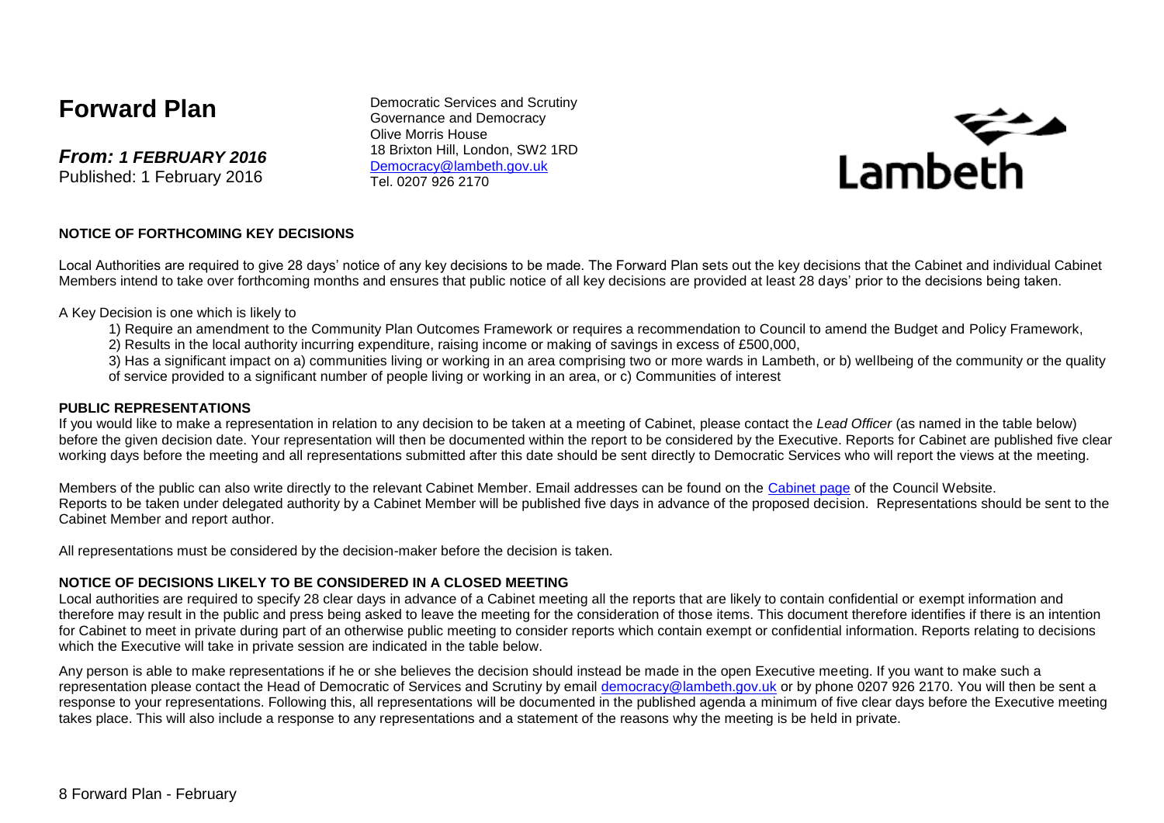# **Forward Plan**

*From: 1 FEBRUARY 2016* Published: 1 February 2016

Democratic Services and Scrutiny Governance and Democracy Olive Morris House 18 Brixton Hill, London, SW2 1RD [Democracy@lambeth.gov.uk](mailto:Democracy@lambeth.gov.uk) Tel. 0207 926 2170



#### **NOTICE OF FORTHCOMING KEY DECISIONS**

Local Authorities are required to give 28 days' notice of any key decisions to be made. The Forward Plan sets out the key decisions that the Cabinet and individual Cabinet Members intend to take over forthcoming months and ensures that public notice of all key decisions are provided at least 28 days' prior to the decisions being taken.

A Key Decision is one which is likely to

- 1) Require an amendment to the Community Plan Outcomes Framework or requires a recommendation to Council to amend the Budget and Policy Framework,
- 2) Results in the local authority incurring expenditure, raising income or making of savings in excess of £500,000,

3) Has a significant impact on a) communities living or working in an area comprising two or more wards in Lambeth, or b) wellbeing of the community or the quality of service provided to a significant number of people living or working in an area, or c) Communities of interest

#### **PUBLIC REPRESENTATIONS**

If you would like to make a representation in relation to any decision to be taken at a meeting of Cabinet, please contact the *Lead Officer* (as named in the table below) before the given decision date. Your representation will then be documented within the report to be considered by the Executive. Reports for Cabinet are published five clear working days before the meeting and all representations submitted after this date should be sent directly to Democratic Services who will report the views at the meeting.

Members of the public can also write directly to the relevant Cabinet Member. Email addresses can be found on the [Cabinet page](http://www.lambeth.gov.uk/elections-and-council/councillors/the-mayor-the-leader-of-the-council-and-cabinet-members-guide#the-cabinet) of the Council Website. Reports to be taken under delegated authority by a Cabinet Member will be published five days in advance of the proposed decision. Representations should be sent to the Cabinet Member and report author.

All representations must be considered by the decision-maker before the decision is taken.

#### **NOTICE OF DECISIONS LIKELY TO BE CONSIDERED IN A CLOSED MEETING**

Local authorities are required to specify 28 clear days in advance of a Cabinet meeting all the reports that are likely to contain confidential or exempt information and therefore may result in the public and press being asked to leave the meeting for the consideration of those items. This document therefore identifies if there is an intention for Cabinet to meet in private during part of an otherwise public meeting to consider reports which contain exempt or confidential information. Reports relating to decisions which the Executive will take in private session are indicated in the table below.

Any person is able to make representations if he or she believes the decision should instead be made in the open Executive meeting. If you want to make such a representation please contact the Head of Democratic of Services and Scrutiny by email [democracy@lambeth.gov.uk](mailto:democracy@lambeth.gov.uk) or by phone 0207 926 2170. You will then be sent a response to your representations. Following this, all representations will be documented in the published agenda a minimum of five clear days before the Executive meeting takes place. This will also include a response to any representations and a statement of the reasons why the meeting is be held in private.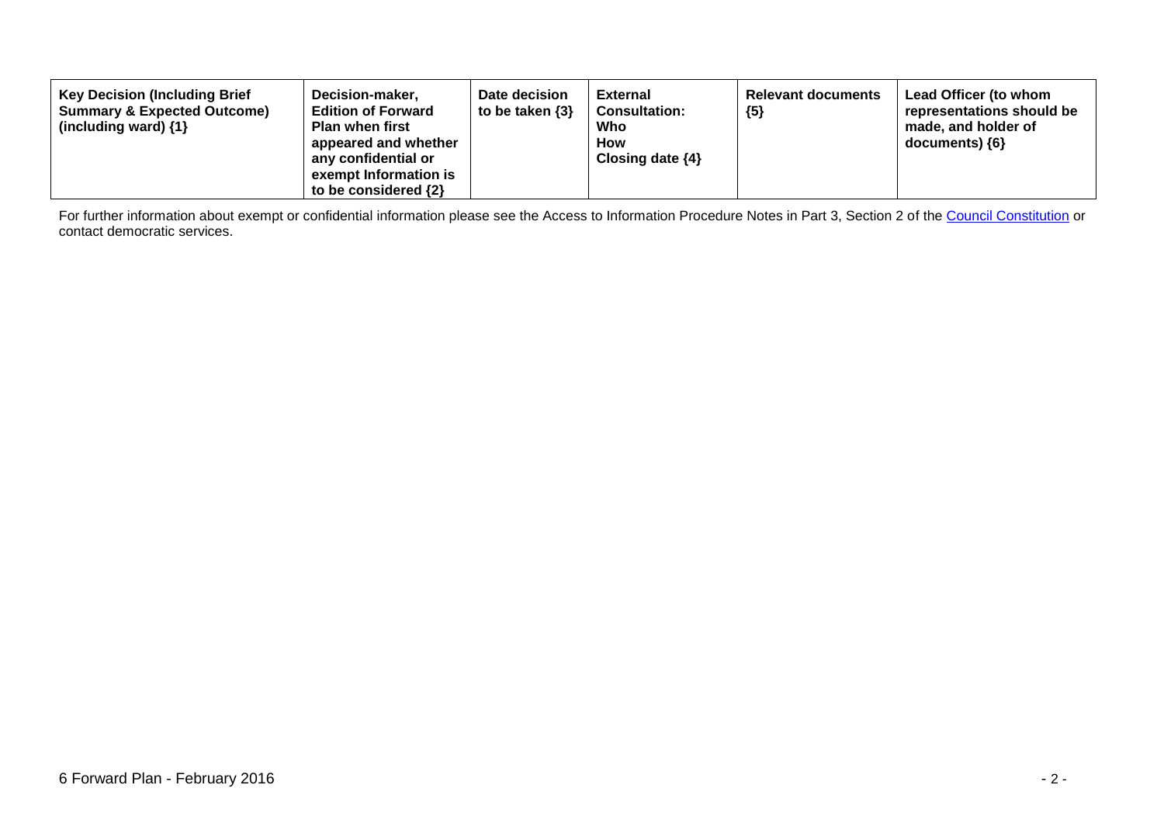| <b>Key Decision (Including Brief</b><br><b>Summary &amp; Expected Outcome)</b><br>(including ward) $\{1\}$ | Decision-maker,<br><b>Edition of Forward</b><br><b>Plan when first</b><br>appeared and whether<br>any confidential or<br>exempt Information is<br>to be considered $\{2\}$ | Date decision<br>to be taken $\{3\}$ | <b>External</b><br><b>Consultation:</b><br>Who<br>How<br>Closing date $\{4\}$ | <b>Relevant documents</b><br>${5}$ | Lead Officer (to whom<br>representations should be<br>made, and holder of<br>$documents)$ {6} |
|------------------------------------------------------------------------------------------------------------|----------------------------------------------------------------------------------------------------------------------------------------------------------------------------|--------------------------------------|-------------------------------------------------------------------------------|------------------------------------|-----------------------------------------------------------------------------------------------|
|------------------------------------------------------------------------------------------------------------|----------------------------------------------------------------------------------------------------------------------------------------------------------------------------|--------------------------------------|-------------------------------------------------------------------------------|------------------------------------|-----------------------------------------------------------------------------------------------|

For further information about exempt or confidential information please see the Access to Information Procedure Notes in Part 3, Section 2 of the <u>Council Constitution</u> or contact democratic services.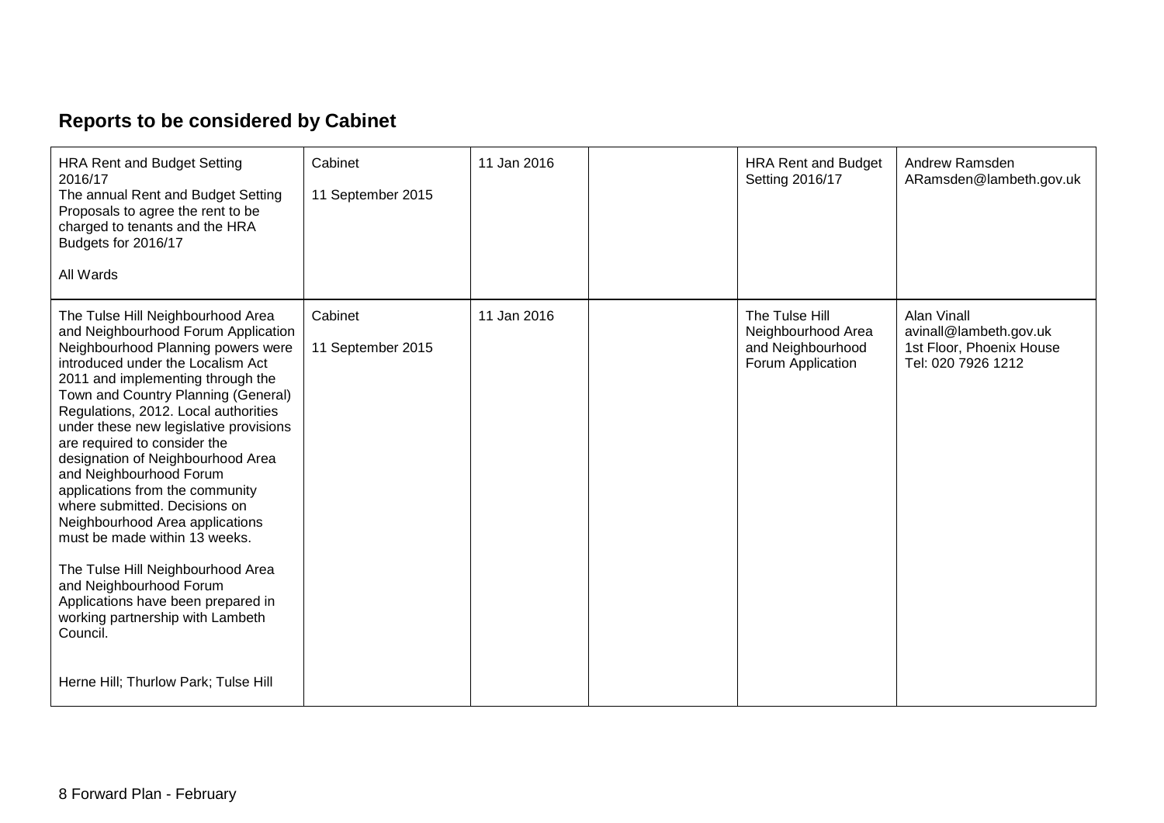# **Reports to be considered by Cabinet**

| <b>HRA Rent and Budget Setting</b><br>2016/17<br>The annual Rent and Budget Setting<br>Proposals to agree the rent to be<br>charged to tenants and the HRA<br>Budgets for 2016/17<br>All Wards                                                                                                                                                                                                                                                                                                                                                                                                                                                                                                                                                          | 11 September 2015            | 11 Jan 2016 | <b>HRA Rent and Budget</b><br>Setting 2016/17                                  | Andrew Ramsden<br>ARamsden@lambeth.gov.uk                                                      |
|---------------------------------------------------------------------------------------------------------------------------------------------------------------------------------------------------------------------------------------------------------------------------------------------------------------------------------------------------------------------------------------------------------------------------------------------------------------------------------------------------------------------------------------------------------------------------------------------------------------------------------------------------------------------------------------------------------------------------------------------------------|------------------------------|-------------|--------------------------------------------------------------------------------|------------------------------------------------------------------------------------------------|
| The Tulse Hill Neighbourhood Area<br>and Neighbourhood Forum Application<br>Neighbourhood Planning powers were<br>introduced under the Localism Act<br>2011 and implementing through the<br>Town and Country Planning (General)<br>Regulations, 2012. Local authorities<br>under these new legislative provisions<br>are required to consider the<br>designation of Neighbourhood Area<br>and Neighbourhood Forum<br>applications from the community<br>where submitted. Decisions on<br>Neighbourhood Area applications<br>must be made within 13 weeks.<br>The Tulse Hill Neighbourhood Area<br>and Neighbourhood Forum<br>Applications have been prepared in<br>working partnership with Lambeth<br>Council.<br>Herne Hill; Thurlow Park; Tulse Hill | Cabinet<br>11 September 2015 | 11 Jan 2016 | The Tulse Hill<br>Neighbourhood Area<br>and Neighbourhood<br>Forum Application | <b>Alan Vinall</b><br>avinall@lambeth.gov.uk<br>1st Floor, Phoenix House<br>Tel: 020 7926 1212 |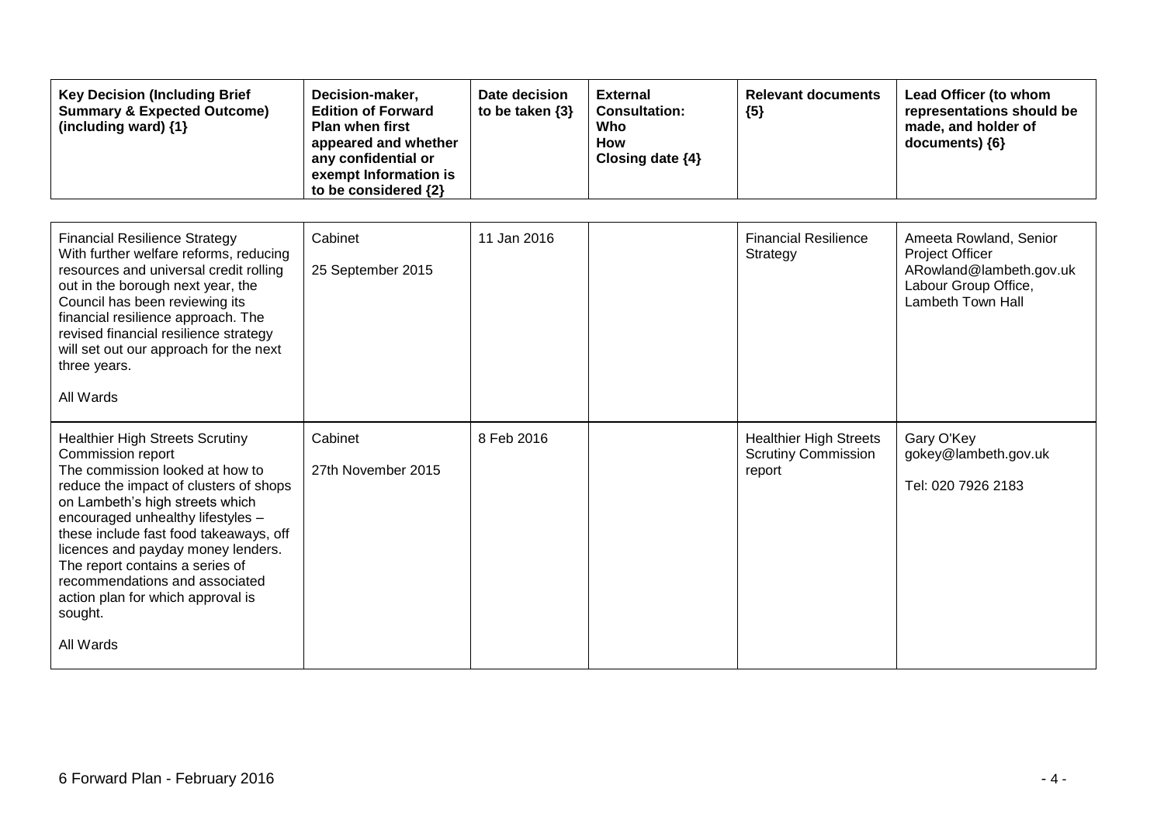| <b>Key Decision (Including Brief</b><br><b>Summary &amp; Expected Outcome)</b><br>(including ward) {1}                                                                                                                                                                                                                                                                                                                             | Decision-maker,<br><b>Edition of Forward</b><br><b>Plan when first</b><br>appeared and whether<br>any confidential or<br>exempt Information is<br>to be considered {2} | Date decision<br>to be taken $\{3\}$ | <b>External</b><br><b>Consultation:</b><br>Who<br>How<br>Closing date {4} | <b>Relevant documents</b><br>${5}$                                    | Lead Officer (to whom<br>representations should be<br>made, and holder of<br>documents) {6}                       |
|------------------------------------------------------------------------------------------------------------------------------------------------------------------------------------------------------------------------------------------------------------------------------------------------------------------------------------------------------------------------------------------------------------------------------------|------------------------------------------------------------------------------------------------------------------------------------------------------------------------|--------------------------------------|---------------------------------------------------------------------------|-----------------------------------------------------------------------|-------------------------------------------------------------------------------------------------------------------|
| <b>Financial Resilience Strategy</b><br>With further welfare reforms, reducing<br>resources and universal credit rolling<br>out in the borough next year, the<br>Council has been reviewing its<br>financial resilience approach. The<br>revised financial resilience strategy<br>will set out our approach for the next<br>three years.<br>All Wards                                                                              | Cabinet<br>25 September 2015                                                                                                                                           | 11 Jan 2016                          |                                                                           | <b>Financial Resilience</b><br>Strategy                               | Ameeta Rowland, Senior<br>Project Officer<br>ARowland@lambeth.gov.uk<br>Labour Group Office,<br>Lambeth Town Hall |
| <b>Healthier High Streets Scrutiny</b><br>Commission report<br>The commission looked at how to<br>reduce the impact of clusters of shops<br>on Lambeth's high streets which<br>encouraged unhealthy lifestyles -<br>these include fast food takeaways, off<br>licences and payday money lenders.<br>The report contains a series of<br>recommendations and associated<br>action plan for which approval is<br>sought.<br>All Wards | Cabinet<br>27th November 2015                                                                                                                                          | 8 Feb 2016                           |                                                                           | <b>Healthier High Streets</b><br><b>Scrutiny Commission</b><br>report | Gary O'Key<br>gokey@lambeth.gov.uk<br>Tel: 020 7926 2183                                                          |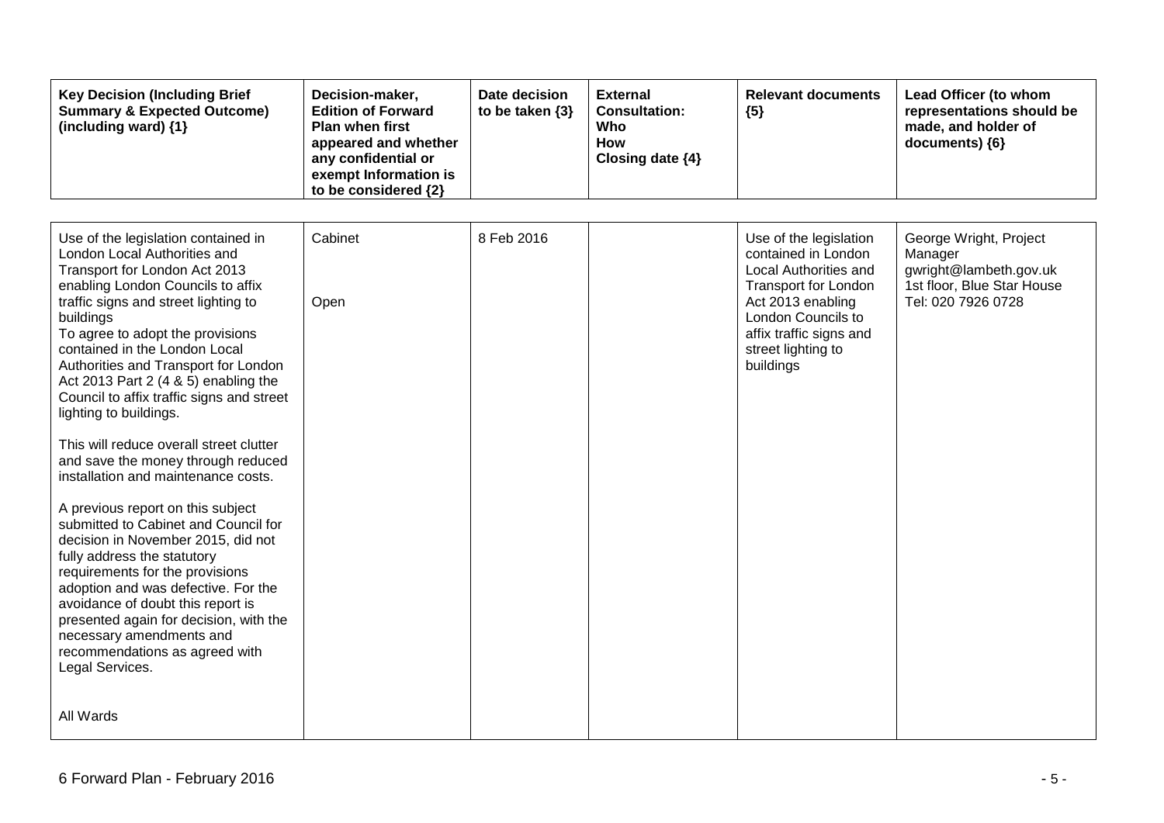| <b>Key Decision (Including Brief</b><br><b>Summary &amp; Expected Outcome)</b><br>(including ward) {1}                                                                                                                                                                                                                                                                                                                                                                                                                                                                                                                                                                                                                                                                                                                                                                                                                                         | Decision-maker,<br><b>Edition of Forward</b><br><b>Plan when first</b><br>appeared and whether<br>any confidential or<br>exempt Information is<br>to be considered {2} | Date decision<br>to be taken {3} | <b>External</b><br><b>Consultation:</b><br>Who<br><b>How</b><br>Closing date {4} | <b>Relevant documents</b><br>${5}$                                                                                                                                                                             | Lead Officer (to whom<br>representations should be<br>made, and holder of<br>documents) {6}                     |
|------------------------------------------------------------------------------------------------------------------------------------------------------------------------------------------------------------------------------------------------------------------------------------------------------------------------------------------------------------------------------------------------------------------------------------------------------------------------------------------------------------------------------------------------------------------------------------------------------------------------------------------------------------------------------------------------------------------------------------------------------------------------------------------------------------------------------------------------------------------------------------------------------------------------------------------------|------------------------------------------------------------------------------------------------------------------------------------------------------------------------|----------------------------------|----------------------------------------------------------------------------------|----------------------------------------------------------------------------------------------------------------------------------------------------------------------------------------------------------------|-----------------------------------------------------------------------------------------------------------------|
| Use of the legislation contained in<br>London Local Authorities and<br>Transport for London Act 2013<br>enabling London Councils to affix<br>traffic signs and street lighting to<br>buildings<br>To agree to adopt the provisions<br>contained in the London Local<br>Authorities and Transport for London<br>Act 2013 Part 2 (4 & 5) enabling the<br>Council to affix traffic signs and street<br>lighting to buildings.<br>This will reduce overall street clutter<br>and save the money through reduced<br>installation and maintenance costs.<br>A previous report on this subject<br>submitted to Cabinet and Council for<br>decision in November 2015, did not<br>fully address the statutory<br>requirements for the provisions<br>adoption and was defective. For the<br>avoidance of doubt this report is<br>presented again for decision, with the<br>necessary amendments and<br>recommendations as agreed with<br>Legal Services. | Cabinet<br>Open                                                                                                                                                        | 8 Feb 2016                       |                                                                                  | Use of the legislation<br>contained in London<br>Local Authorities and<br><b>Transport for London</b><br>Act 2013 enabling<br>London Councils to<br>affix traffic signs and<br>street lighting to<br>buildings | George Wright, Project<br>Manager<br>gwright@lambeth.gov.uk<br>1st floor, Blue Star House<br>Tel: 020 7926 0728 |
| All Wards                                                                                                                                                                                                                                                                                                                                                                                                                                                                                                                                                                                                                                                                                                                                                                                                                                                                                                                                      |                                                                                                                                                                        |                                  |                                                                                  |                                                                                                                                                                                                                |                                                                                                                 |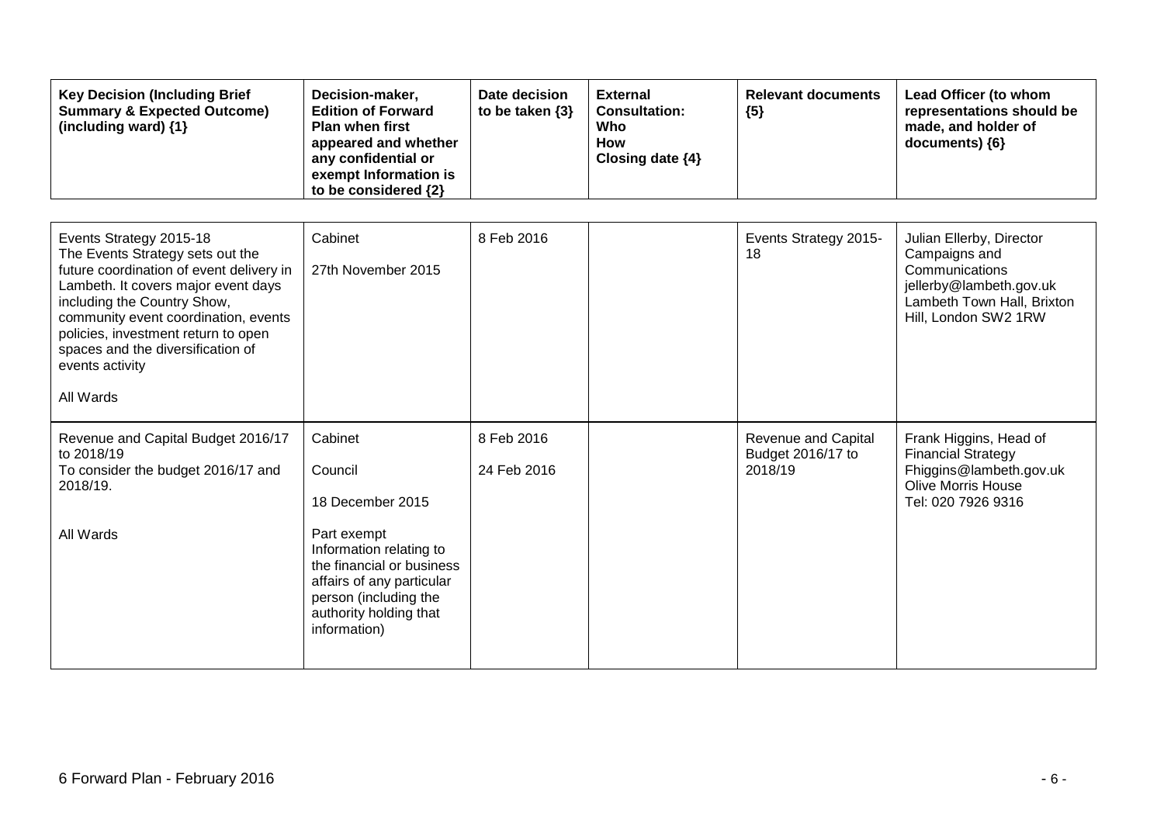| <b>Key Decision (Including Brief</b><br><b>Summary &amp; Expected Outcome)</b><br>(including ward) {1}                                                                                                                                                                                                                            | Decision-maker,<br><b>Edition of Forward</b><br><b>Plan when first</b><br>appeared and whether<br>any confidential or<br>exempt Information is<br>to be considered {2}                                        | Date decision<br>to be taken $\{3\}$ | <b>External</b><br><b>Consultation:</b><br>Who<br><b>How</b><br>Closing date {4} | <b>Relevant documents</b><br>${5}$                  | Lead Officer (to whom<br>representations should be<br>made, and holder of<br>documents) {6}                                                  |
|-----------------------------------------------------------------------------------------------------------------------------------------------------------------------------------------------------------------------------------------------------------------------------------------------------------------------------------|---------------------------------------------------------------------------------------------------------------------------------------------------------------------------------------------------------------|--------------------------------------|----------------------------------------------------------------------------------|-----------------------------------------------------|----------------------------------------------------------------------------------------------------------------------------------------------|
| Events Strategy 2015-18<br>The Events Strategy sets out the<br>future coordination of event delivery in<br>Lambeth. It covers major event days<br>including the Country Show,<br>community event coordination, events<br>policies, investment return to open<br>spaces and the diversification of<br>events activity<br>All Wards | Cabinet<br>27th November 2015                                                                                                                                                                                 | 8 Feb 2016                           |                                                                                  | Events Strategy 2015-<br>18                         | Julian Ellerby, Director<br>Campaigns and<br>Communications<br>jellerby@lambeth.gov.uk<br>Lambeth Town Hall, Brixton<br>Hill, London SW2 1RW |
| Revenue and Capital Budget 2016/17<br>to 2018/19<br>To consider the budget 2016/17 and<br>2018/19.<br>All Wards                                                                                                                                                                                                                   | Cabinet<br>Council<br>18 December 2015<br>Part exempt<br>Information relating to<br>the financial or business<br>affairs of any particular<br>person (including the<br>authority holding that<br>information) | 8 Feb 2016<br>24 Feb 2016            |                                                                                  | Revenue and Capital<br>Budget 2016/17 to<br>2018/19 | Frank Higgins, Head of<br><b>Financial Strategy</b><br>Fhiggins@lambeth.gov.uk<br><b>Olive Morris House</b><br>Tel: 020 7926 9316            |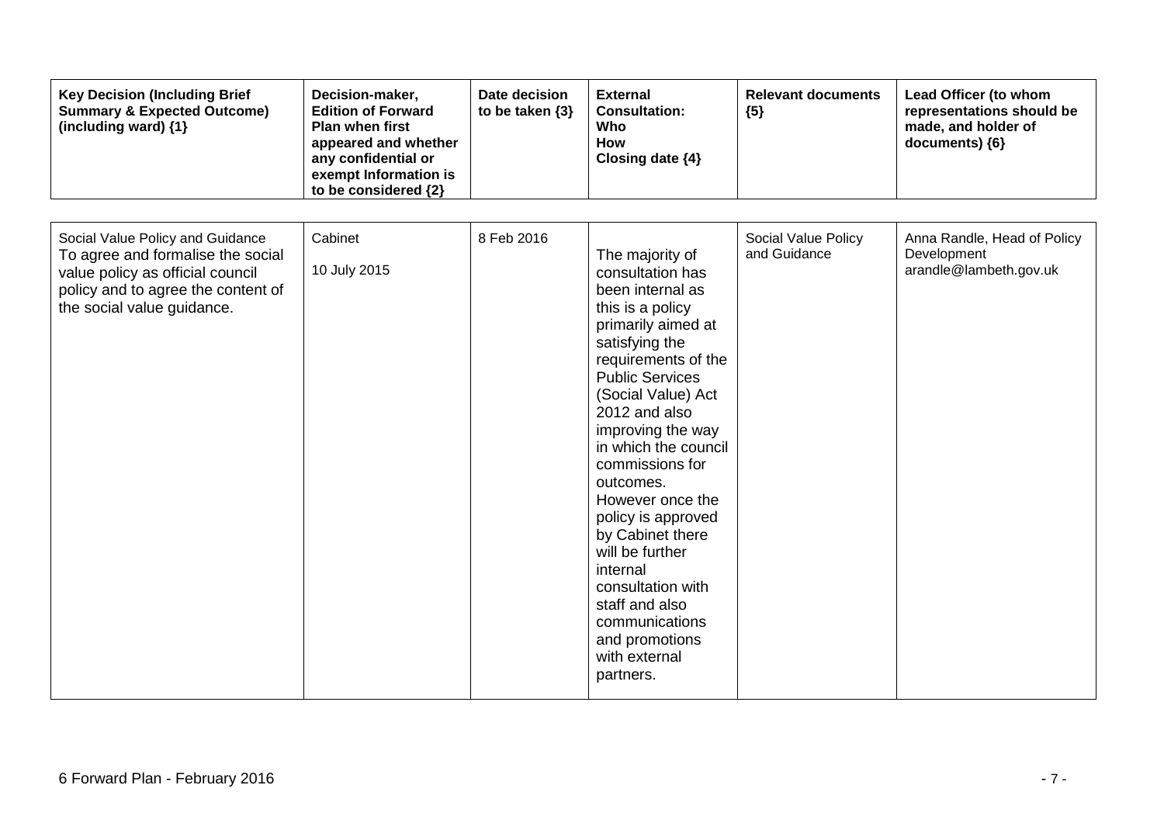| <b>Key Decision (Including Brief</b><br><b>Summary &amp; Expected Outcome)</b><br>(including ward) {1}                                                                        | Decision-maker,<br><b>Edition of Forward</b><br><b>Plan when first</b><br>appeared and whether<br>any confidential or<br>exempt Information is<br>to be considered {2} | Date decision<br>to be taken $\{3\}$ | <b>External</b><br><b>Consultation:</b><br>Who<br><b>How</b><br>Closing date {4}                                                                                                                                                                                                                                                                                                                                                                                                               | <b>Relevant documents</b><br>${5}$  | Lead Officer (to whom<br>representations should be<br>made, and holder of<br>documents) {6} |
|-------------------------------------------------------------------------------------------------------------------------------------------------------------------------------|------------------------------------------------------------------------------------------------------------------------------------------------------------------------|--------------------------------------|------------------------------------------------------------------------------------------------------------------------------------------------------------------------------------------------------------------------------------------------------------------------------------------------------------------------------------------------------------------------------------------------------------------------------------------------------------------------------------------------|-------------------------------------|---------------------------------------------------------------------------------------------|
| Social Value Policy and Guidance<br>To agree and formalise the social<br>value policy as official council<br>policy and to agree the content of<br>the social value guidance. | Cabinet<br>10 July 2015                                                                                                                                                | 8 Feb 2016                           | The majority of<br>consultation has<br>been internal as<br>this is a policy<br>primarily aimed at<br>satisfying the<br>requirements of the<br><b>Public Services</b><br>(Social Value) Act<br>2012 and also<br>improving the way<br>in which the council<br>commissions for<br>outcomes.<br>However once the<br>policy is approved<br>by Cabinet there<br>will be further<br>internal<br>consultation with<br>staff and also<br>communications<br>and promotions<br>with external<br>partners. | Social Value Policy<br>and Guidance | Anna Randle, Head of Policy<br>Development<br>arandle@lambeth.gov.uk                        |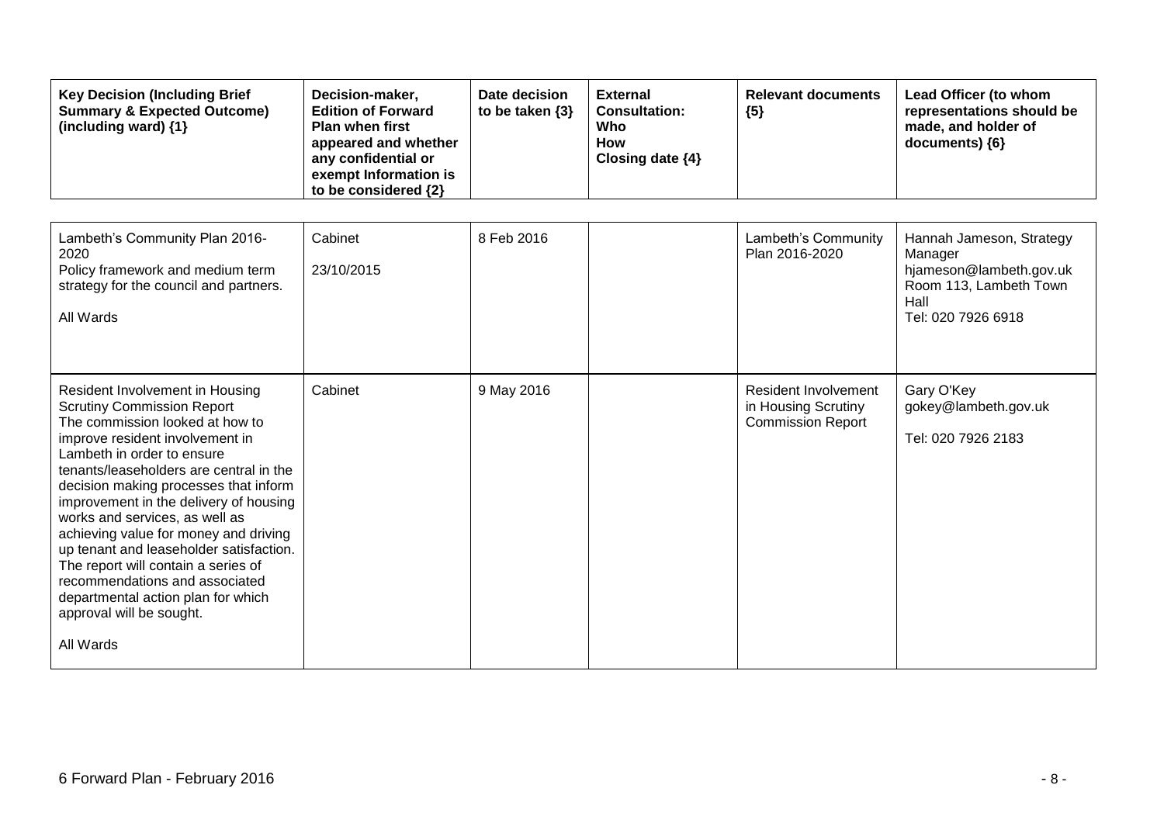| <b>Key Decision (Including Brief</b><br><b>Summary &amp; Expected Outcome)</b><br>(including ward) {1}                                                                                                                                                                                                                                                                                                                                                                                                                                                                               | Decision-maker,<br><b>Edition of Forward</b><br><b>Plan when first</b><br>appeared and whether<br>any confidential or<br>exempt Information is<br>to be considered {2} | Date decision<br>to be taken $\{3\}$ | <b>External</b><br><b>Consultation:</b><br>Who<br><b>How</b><br>Closing date {4} | <b>Relevant documents</b><br>${5}$                                             | Lead Officer (to whom<br>representations should be<br>made, and holder of<br>documents) {6}                            |
|--------------------------------------------------------------------------------------------------------------------------------------------------------------------------------------------------------------------------------------------------------------------------------------------------------------------------------------------------------------------------------------------------------------------------------------------------------------------------------------------------------------------------------------------------------------------------------------|------------------------------------------------------------------------------------------------------------------------------------------------------------------------|--------------------------------------|----------------------------------------------------------------------------------|--------------------------------------------------------------------------------|------------------------------------------------------------------------------------------------------------------------|
| Lambeth's Community Plan 2016-<br>2020<br>Policy framework and medium term<br>strategy for the council and partners.<br>All Wards                                                                                                                                                                                                                                                                                                                                                                                                                                                    | Cabinet<br>23/10/2015                                                                                                                                                  | 8 Feb 2016                           |                                                                                  | Lambeth's Community<br>Plan 2016-2020                                          | Hannah Jameson, Strategy<br>Manager<br>hjameson@lambeth.gov.uk<br>Room 113, Lambeth Town<br>Hall<br>Tel: 020 7926 6918 |
| Resident Involvement in Housing<br><b>Scrutiny Commission Report</b><br>The commission looked at how to<br>improve resident involvement in<br>Lambeth in order to ensure<br>tenants/leaseholders are central in the<br>decision making processes that inform<br>improvement in the delivery of housing<br>works and services, as well as<br>achieving value for money and driving<br>up tenant and leaseholder satisfaction.<br>The report will contain a series of<br>recommendations and associated<br>departmental action plan for which<br>approval will be sought.<br>All Wards | Cabinet                                                                                                                                                                | 9 May 2016                           |                                                                                  | <b>Resident Involvement</b><br>in Housing Scrutiny<br><b>Commission Report</b> | Gary O'Key<br>gokey@lambeth.gov.uk<br>Tel: 020 7926 2183                                                               |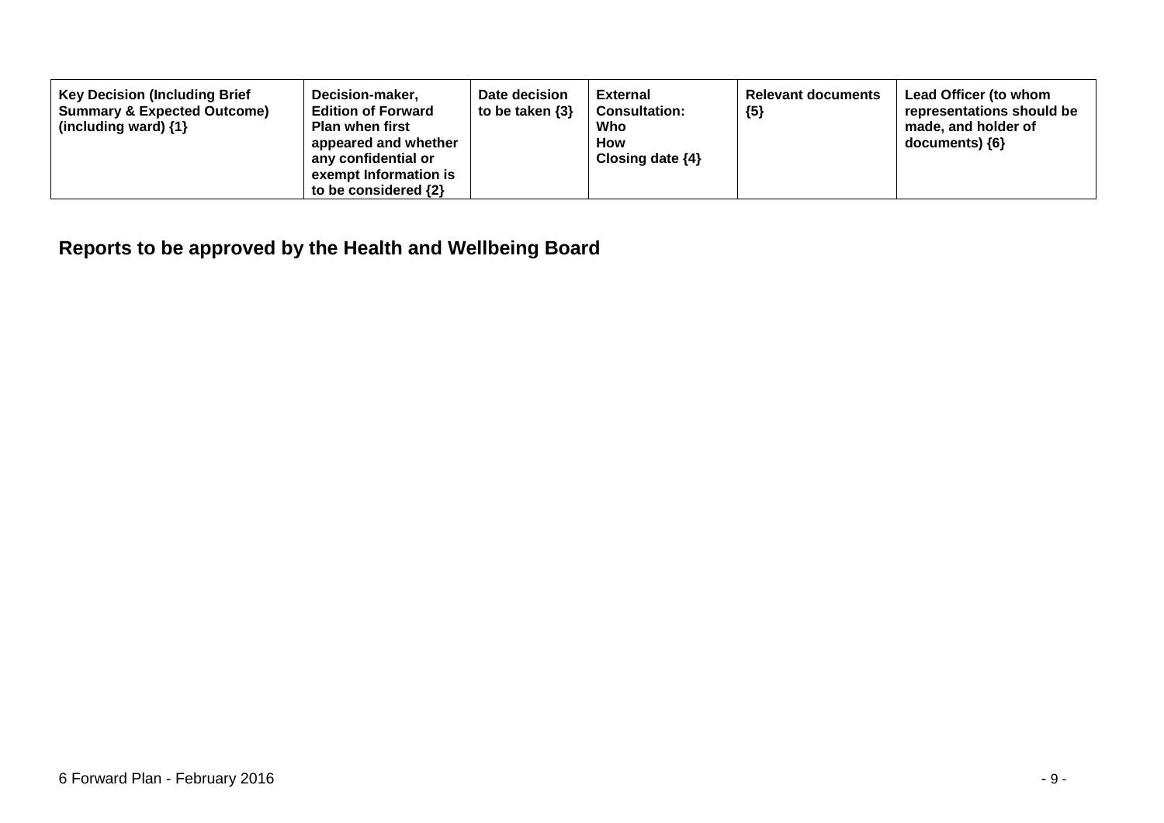| <b>Key Decision (Including Brief</b><br><b>Summary &amp; Expected Outcome)</b><br>(including ward) $\{1\}$ | Decision-maker,<br><b>Edition of Forward</b><br><b>Plan when first</b><br>appeared and whether<br>any confidential or<br>exempt Information is<br>to be considered $\{2\}$ | Date decision<br>to be taken $\{3\}$ | <b>External</b><br><b>Consultation:</b><br>Who<br>How<br>Closing date $\{4\}$ | <b>Relevant documents</b><br>${5}$ | Lead Officer (to whom<br>representations should be<br>made, and holder of<br>documents) ${6}$ |
|------------------------------------------------------------------------------------------------------------|----------------------------------------------------------------------------------------------------------------------------------------------------------------------------|--------------------------------------|-------------------------------------------------------------------------------|------------------------------------|-----------------------------------------------------------------------------------------------|
|------------------------------------------------------------------------------------------------------------|----------------------------------------------------------------------------------------------------------------------------------------------------------------------------|--------------------------------------|-------------------------------------------------------------------------------|------------------------------------|-----------------------------------------------------------------------------------------------|

**Reports to be approved by the Health and Wellbeing Board**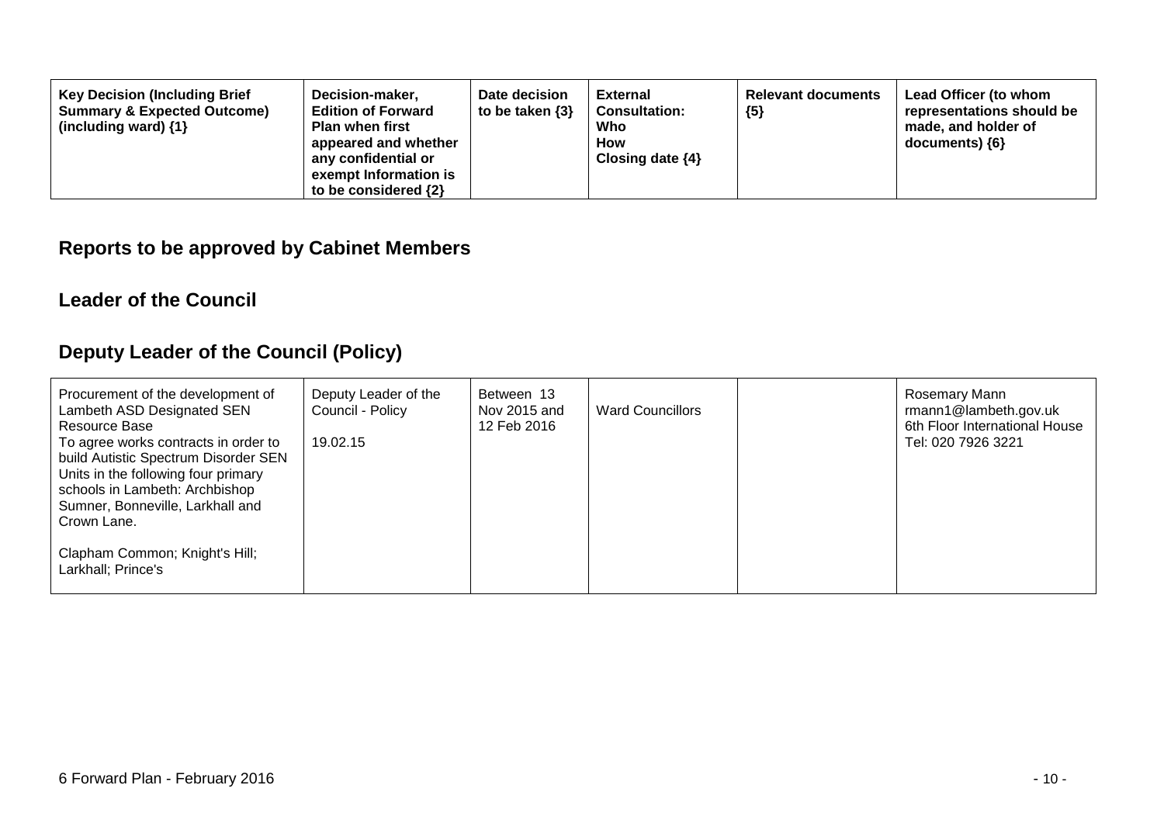| Decision-maker,<br><b>Key Decision (Including Brief</b><br><b>Summary &amp; Expected Outcome)</b><br><b>Edition of Forward</b><br><b>Plan when first</b><br>(including ward) $\{1\}$<br>appeared and whether<br>any confidential or<br>exempt Information is<br>to be considered $\{2\}$ | Date decision<br>to be taken $\{3\}$ | <b>External</b><br><b>Consultation:</b><br>Who<br><b>How</b><br>Closing date $\{4\}$ | <b>Relevant documents</b><br>${5}$ | Lead Officer (to whom<br>representations should be<br>made, and holder of<br>$documents)$ {6} |
|------------------------------------------------------------------------------------------------------------------------------------------------------------------------------------------------------------------------------------------------------------------------------------------|--------------------------------------|--------------------------------------------------------------------------------------|------------------------------------|-----------------------------------------------------------------------------------------------|
|------------------------------------------------------------------------------------------------------------------------------------------------------------------------------------------------------------------------------------------------------------------------------------------|--------------------------------------|--------------------------------------------------------------------------------------|------------------------------------|-----------------------------------------------------------------------------------------------|

### **Reports to be approved by Cabinet Members**

#### **Leader of the Council**

### **Deputy Leader of the Council (Policy)**

| Procurement of the development of<br>Lambeth ASD Designated SEN<br>Resource Base<br>To agree works contracts in order to<br>build Autistic Spectrum Disorder SEN<br>Units in the following four primary<br>schools in Lambeth: Archbishop<br>Sumner, Bonneville, Larkhall and<br>Crown Lane. | Deputy Leader of the<br>Council - Policy<br>19.02.15 | Between 13<br>Nov 2015 and<br>12 Feb 2016 | <b>Ward Councillors</b> | Rosemary Mann<br>rmann1@lambeth.gov.uk<br>6th Floor International House<br>Tel: 020 7926 3221 |
|----------------------------------------------------------------------------------------------------------------------------------------------------------------------------------------------------------------------------------------------------------------------------------------------|------------------------------------------------------|-------------------------------------------|-------------------------|-----------------------------------------------------------------------------------------------|
| Clapham Common; Knight's Hill;<br>Larkhall; Prince's                                                                                                                                                                                                                                         |                                                      |                                           |                         |                                                                                               |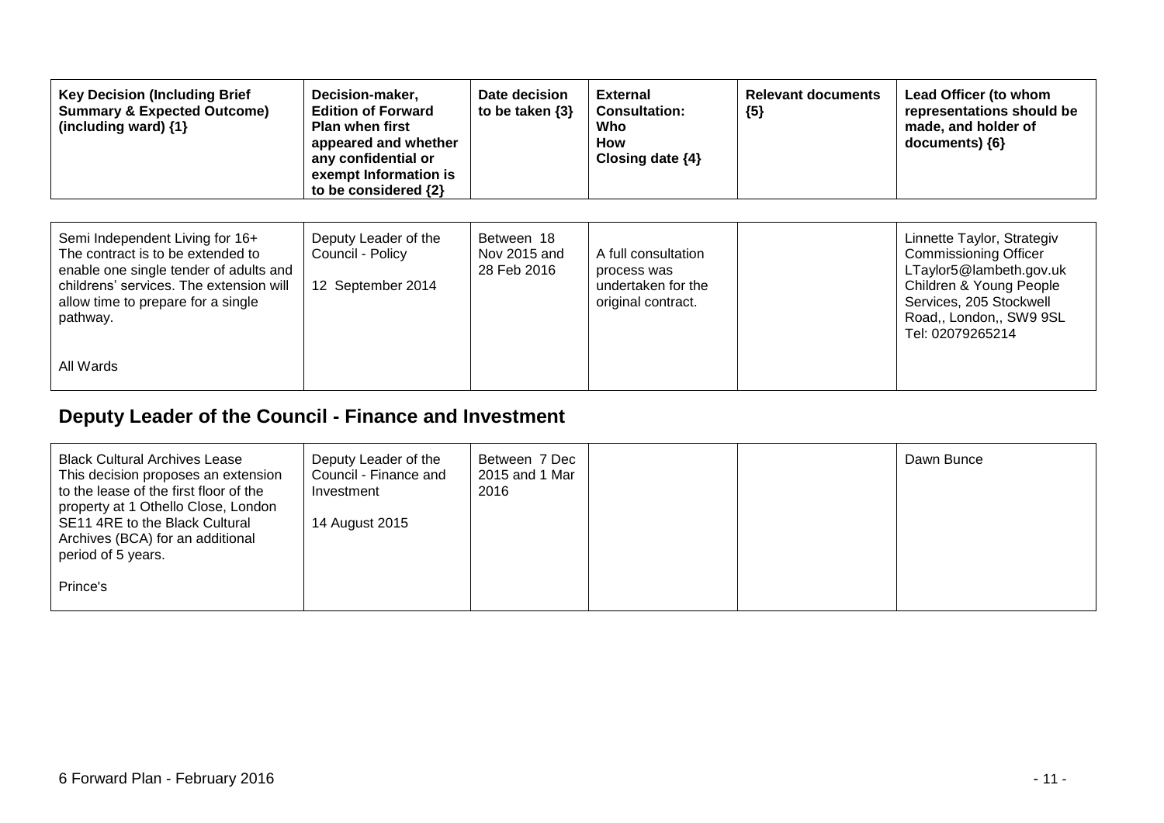| <b>Key Decision (Including Brief</b><br><b>Summary &amp; Expected Outcome)</b><br>(including ward) {1}                                                                                                      | Decision-maker,<br><b>Edition of Forward</b><br><b>Plan when first</b><br>appeared and whether<br>any confidential or<br>exempt Information is<br>to be considered {2} | Date decision<br>to be taken $\{3\}$      | <b>External</b><br><b>Consultation:</b><br>Who<br>How<br>Closing date $\{4\}$  | <b>Relevant documents</b><br>${5}$ | Lead Officer (to whom<br>representations should be<br>made, and holder of<br>$documents)$ {6}                                                                                              |
|-------------------------------------------------------------------------------------------------------------------------------------------------------------------------------------------------------------|------------------------------------------------------------------------------------------------------------------------------------------------------------------------|-------------------------------------------|--------------------------------------------------------------------------------|------------------------------------|--------------------------------------------------------------------------------------------------------------------------------------------------------------------------------------------|
| Semi Independent Living for 16+<br>The contract is to be extended to<br>enable one single tender of adults and<br>childrens' services. The extension will<br>allow time to prepare for a single<br>pathway. | Deputy Leader of the<br>Council - Policy<br>12 September 2014                                                                                                          | Between 18<br>Nov 2015 and<br>28 Feb 2016 | A full consultation<br>process was<br>undertaken for the<br>original contract. |                                    | Linnette Taylor, Strategiv<br><b>Commissioning Officer</b><br>LTaylor5@lambeth.gov.uk<br>Children & Young People<br>Services, 205 Stockwell<br>Road,, London,, SW9 9SL<br>Tel: 02079265214 |
| All Wards                                                                                                                                                                                                   |                                                                                                                                                                        |                                           |                                                                                |                                    |                                                                                                                                                                                            |

## **Deputy Leader of the Council - Finance and Investment**

| <b>Black Cultural Archives Lease</b><br>This decision proposes an extension<br>to the lease of the first floor of the<br>property at 1 Othello Close, London | Deputy Leader of the<br>Council - Finance and<br>Investment | Between 7 Dec<br>2015 and 1 Mar<br>2016 |  | Dawn Bunce |
|--------------------------------------------------------------------------------------------------------------------------------------------------------------|-------------------------------------------------------------|-----------------------------------------|--|------------|
| SE11 4RE to the Black Cultural<br>Archives (BCA) for an additional<br>period of 5 years.                                                                     | 14 August 2015                                              |                                         |  |            |
| Prince's                                                                                                                                                     |                                                             |                                         |  |            |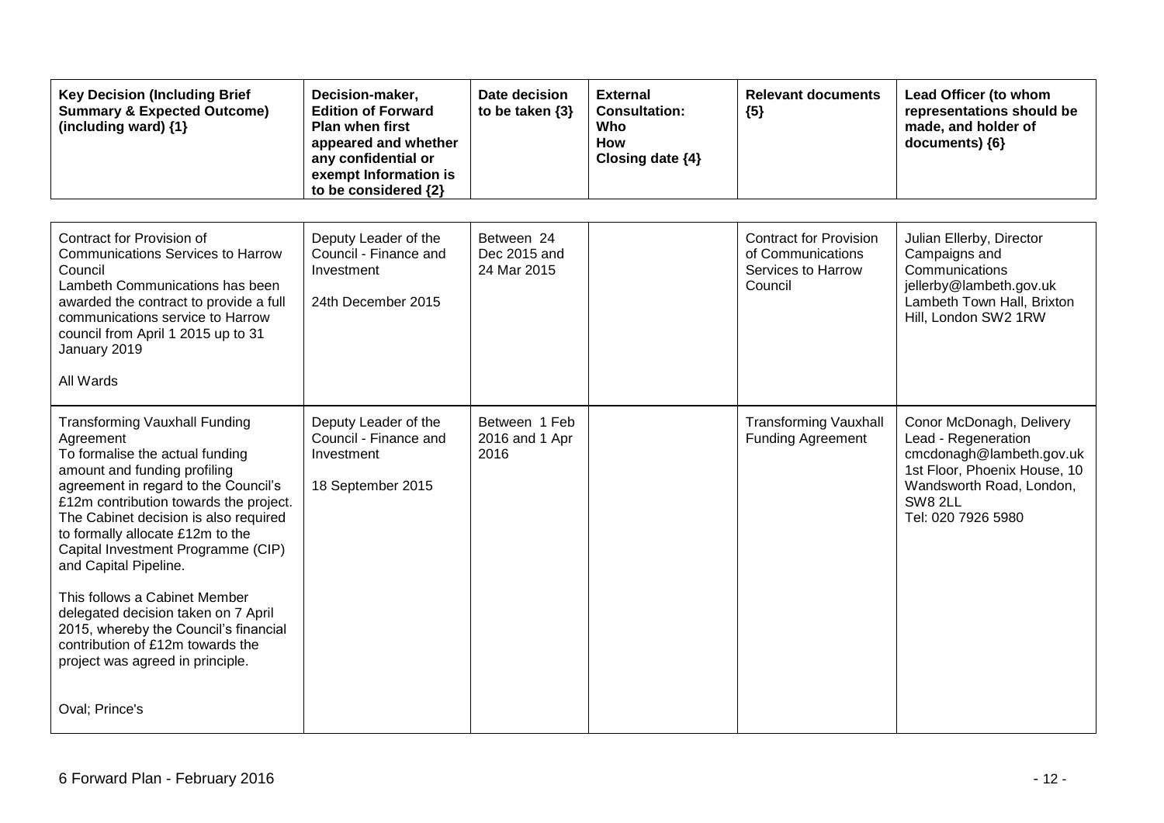| <b>Key Decision (Including Brief</b><br><b>Summary &amp; Expected Outcome)</b><br>(including ward) {1}                                                                                                                                                                                                                                                                                                                                                                                                                                      | Decision-maker,<br><b>Edition of Forward</b><br>Plan when first<br>appeared and whether<br>any confidential or<br>exempt Information is<br>to be considered {2} | Date decision<br>to be taken $\{3\}$      | <b>External</b><br><b>Consultation:</b><br>Who<br>How<br>Closing date {4} | <b>Relevant documents</b><br>${5}$                                                  | Lead Officer (to whom<br>representations should be<br>made, and holder of<br>documents) {6}                                                                              |
|---------------------------------------------------------------------------------------------------------------------------------------------------------------------------------------------------------------------------------------------------------------------------------------------------------------------------------------------------------------------------------------------------------------------------------------------------------------------------------------------------------------------------------------------|-----------------------------------------------------------------------------------------------------------------------------------------------------------------|-------------------------------------------|---------------------------------------------------------------------------|-------------------------------------------------------------------------------------|--------------------------------------------------------------------------------------------------------------------------------------------------------------------------|
| Contract for Provision of<br><b>Communications Services to Harrow</b><br>Council<br>Lambeth Communications has been<br>awarded the contract to provide a full<br>communications service to Harrow<br>council from April 1 2015 up to 31<br>January 2019<br>All Wards                                                                                                                                                                                                                                                                        | Deputy Leader of the<br>Council - Finance and<br>Investment<br>24th December 2015                                                                               | Between 24<br>Dec 2015 and<br>24 Mar 2015 |                                                                           | <b>Contract for Provision</b><br>of Communications<br>Services to Harrow<br>Council | Julian Ellerby, Director<br>Campaigns and<br>Communications<br>jellerby@lambeth.gov.uk<br>Lambeth Town Hall, Brixton<br>Hill, London SW2 1RW                             |
| <b>Transforming Vauxhall Funding</b><br>Agreement<br>To formalise the actual funding<br>amount and funding profiling<br>agreement in regard to the Council's<br>£12m contribution towards the project.<br>The Cabinet decision is also required<br>to formally allocate £12m to the<br>Capital Investment Programme (CIP)<br>and Capital Pipeline.<br>This follows a Cabinet Member<br>delegated decision taken on 7 April<br>2015, whereby the Council's financial<br>contribution of £12m towards the<br>project was agreed in principle. | Deputy Leader of the<br>Council - Finance and<br>Investment<br>18 September 2015                                                                                | Between 1 Feb<br>2016 and 1 Apr<br>2016   |                                                                           | <b>Transforming Vauxhall</b><br><b>Funding Agreement</b>                            | Conor McDonagh, Delivery<br>Lead - Regeneration<br>cmcdonagh@lambeth.gov.uk<br>1st Floor, Phoenix House, 10<br>Wandsworth Road, London,<br>SW8 2LL<br>Tel: 020 7926 5980 |
| Oval; Prince's                                                                                                                                                                                                                                                                                                                                                                                                                                                                                                                              |                                                                                                                                                                 |                                           |                                                                           |                                                                                     |                                                                                                                                                                          |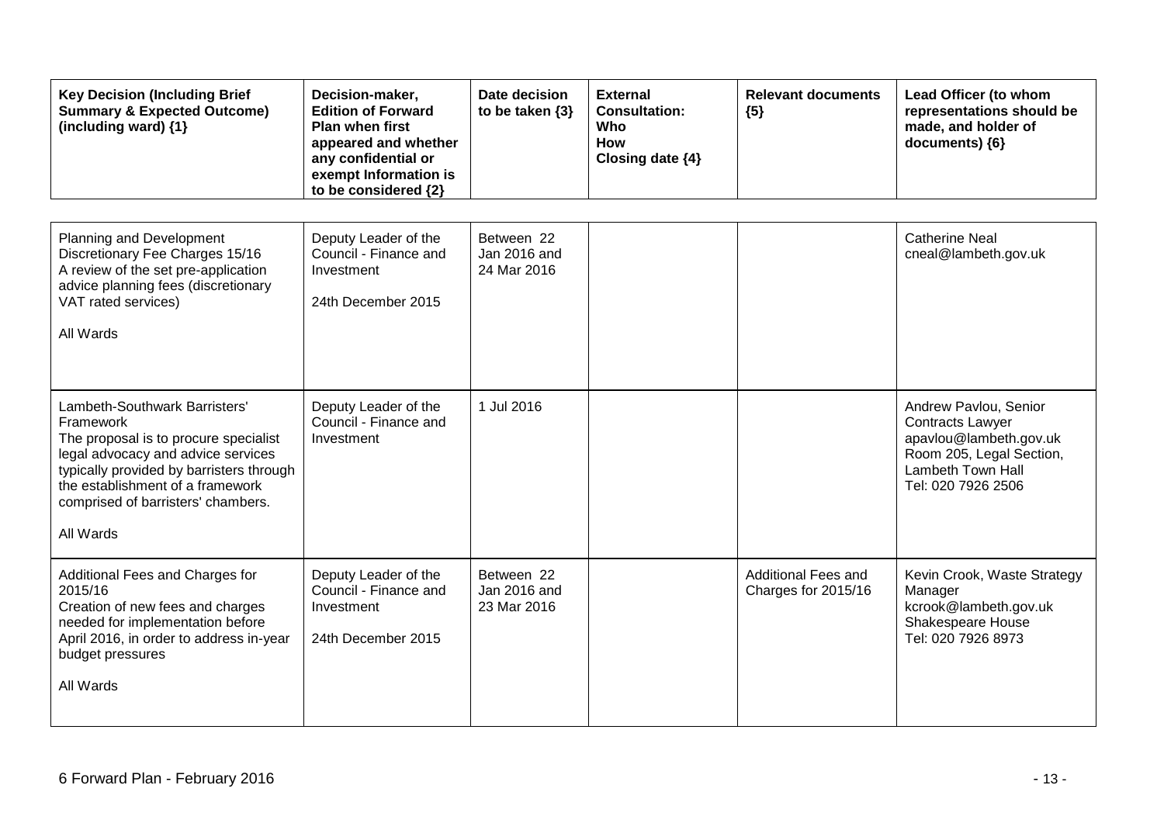| <b>Key Decision (Including Brief</b><br><b>Summary &amp; Expected Outcome)</b><br>(including ward) $\{1\}$                                                                                                                                                   | Decision-maker,<br><b>Edition of Forward</b><br>Plan when first<br>appeared and whether<br>any confidential or<br>exempt Information is<br>to be considered {2} | Date decision<br>to be taken $\{3\}$      | <b>External</b><br><b>Consultation:</b><br>Who<br><b>How</b><br>Closing date {4} | <b>Relevant documents</b><br>${5}$                | Lead Officer (to whom<br>representations should be<br>made, and holder of<br>documents) {6}                                                              |
|--------------------------------------------------------------------------------------------------------------------------------------------------------------------------------------------------------------------------------------------------------------|-----------------------------------------------------------------------------------------------------------------------------------------------------------------|-------------------------------------------|----------------------------------------------------------------------------------|---------------------------------------------------|----------------------------------------------------------------------------------------------------------------------------------------------------------|
| Planning and Development<br>Discretionary Fee Charges 15/16<br>A review of the set pre-application<br>advice planning fees (discretionary<br>VAT rated services)<br>All Wards                                                                                | Deputy Leader of the<br>Council - Finance and<br>Investment<br>24th December 2015                                                                               | Between 22<br>Jan 2016 and<br>24 Mar 2016 |                                                                                  |                                                   | <b>Catherine Neal</b><br>cneal@lambeth.gov.uk                                                                                                            |
| Lambeth-Southwark Barristers'<br>Framework<br>The proposal is to procure specialist<br>legal advocacy and advice services<br>typically provided by barristers through<br>the establishment of a framework<br>comprised of barristers' chambers.<br>All Wards | Deputy Leader of the<br>Council - Finance and<br>Investment                                                                                                     | 1 Jul 2016                                |                                                                                  |                                                   | Andrew Pavlou, Senior<br><b>Contracts Lawyer</b><br>apavlou@lambeth.gov.uk<br>Room 205, Legal Section,<br><b>Lambeth Town Hall</b><br>Tel: 020 7926 2506 |
| Additional Fees and Charges for<br>2015/16<br>Creation of new fees and charges<br>needed for implementation before<br>April 2016, in order to address in-year<br>budget pressures<br>All Wards                                                               | Deputy Leader of the<br>Council - Finance and<br>Investment<br>24th December 2015                                                                               | Between 22<br>Jan 2016 and<br>23 Mar 2016 |                                                                                  | <b>Additional Fees and</b><br>Charges for 2015/16 | Kevin Crook, Waste Strategy<br>Manager<br>kcrook@lambeth.gov.uk<br>Shakespeare House<br>Tel: 020 7926 8973                                               |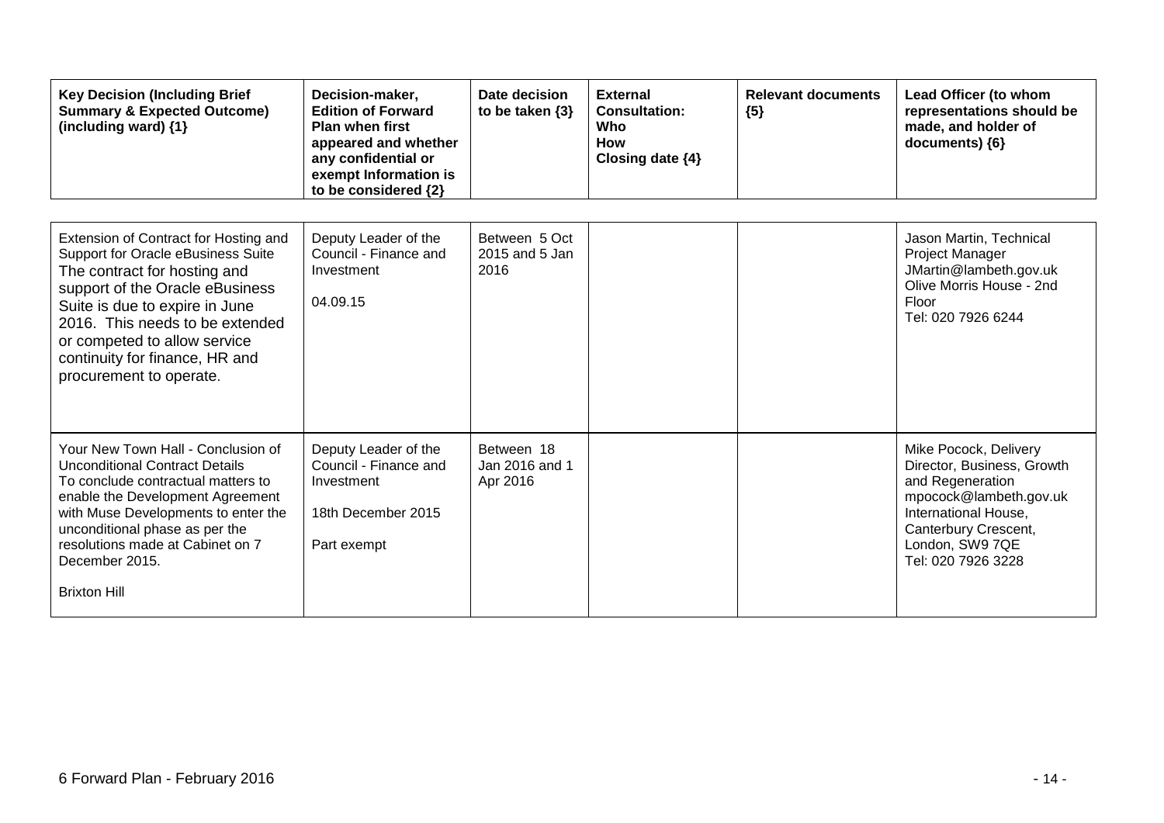| <b>Key Decision (Including Brief</b><br><b>Summary &amp; Expected Outcome)</b><br>(including ward) {1}                                                                                                                                                                                                           | Decision-maker,<br><b>Edition of Forward</b><br><b>Plan when first</b><br>appeared and whether<br>any confidential or<br>exempt Information is<br>to be considered {2} | Date decision<br>to be taken $\{3\}$     | <b>External</b><br><b>Consultation:</b><br>Who<br>How<br>Closing date {4} | <b>Relevant documents</b><br>${5}$ | Lead Officer (to whom<br>representations should be<br>made, and holder of<br>documents) {6}                                                                                                |
|------------------------------------------------------------------------------------------------------------------------------------------------------------------------------------------------------------------------------------------------------------------------------------------------------------------|------------------------------------------------------------------------------------------------------------------------------------------------------------------------|------------------------------------------|---------------------------------------------------------------------------|------------------------------------|--------------------------------------------------------------------------------------------------------------------------------------------------------------------------------------------|
| Extension of Contract for Hosting and<br>Support for Oracle eBusiness Suite<br>The contract for hosting and<br>support of the Oracle eBusiness<br>Suite is due to expire in June<br>2016. This needs to be extended<br>or competed to allow service<br>continuity for finance, HR and<br>procurement to operate. | Deputy Leader of the<br>Council - Finance and<br>Investment<br>04.09.15                                                                                                | Between 5 Oct<br>2015 and 5 Jan<br>2016  |                                                                           |                                    | Jason Martin, Technical<br>Project Manager<br>JMartin@lambeth.gov.uk<br>Olive Morris House - 2nd<br>Floor<br>Tel: 020 7926 6244                                                            |
| Your New Town Hall - Conclusion of<br><b>Unconditional Contract Details</b><br>To conclude contractual matters to<br>enable the Development Agreement<br>with Muse Developments to enter the<br>unconditional phase as per the<br>resolutions made at Cabinet on 7<br>December 2015.<br><b>Brixton Hill</b>      | Deputy Leader of the<br>Council - Finance and<br>Investment<br>18th December 2015<br>Part exempt                                                                       | Between 18<br>Jan 2016 and 1<br>Apr 2016 |                                                                           |                                    | Mike Pocock, Delivery<br>Director, Business, Growth<br>and Regeneration<br>mpocock@lambeth.gov.uk<br>International House,<br>Canterbury Crescent,<br>London, SW9 7QE<br>Tel: 020 7926 3228 |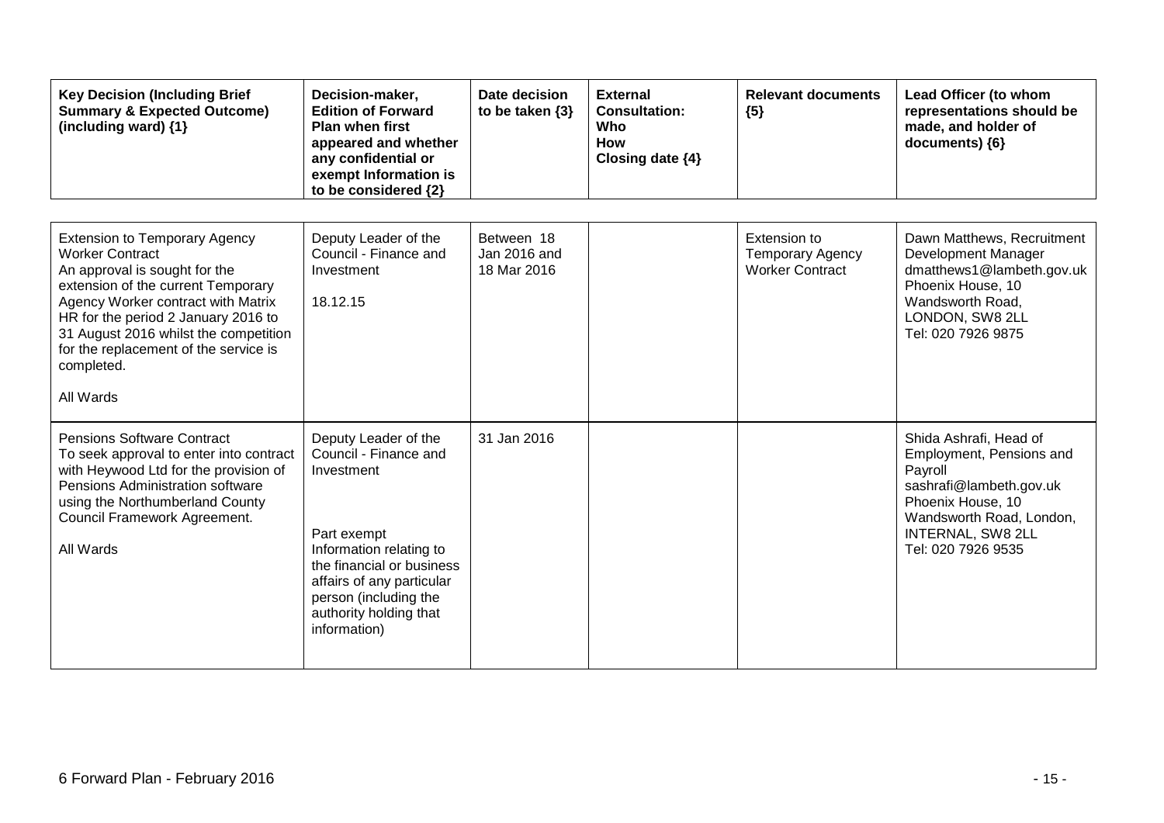| <b>Key Decision (Including Brief</b><br><b>Summary &amp; Expected Outcome)</b><br>(including ward) {1}                                                                                                                                                                                                                          | Decision-maker,<br><b>Edition of Forward</b><br><b>Plan when first</b><br>appeared and whether<br>any confidential or<br>exempt Information is<br>to be considered {2}                                                             | Date decision<br>to be taken $\{3\}$      | <b>External</b><br><b>Consultation:</b><br>Who<br><b>How</b><br>Closing date {4} | <b>Relevant documents</b><br>${5}$                                | Lead Officer (to whom<br>representations should be<br>made, and holder of<br>documents) {6}                                                                                                 |
|---------------------------------------------------------------------------------------------------------------------------------------------------------------------------------------------------------------------------------------------------------------------------------------------------------------------------------|------------------------------------------------------------------------------------------------------------------------------------------------------------------------------------------------------------------------------------|-------------------------------------------|----------------------------------------------------------------------------------|-------------------------------------------------------------------|---------------------------------------------------------------------------------------------------------------------------------------------------------------------------------------------|
| <b>Extension to Temporary Agency</b><br><b>Worker Contract</b><br>An approval is sought for the<br>extension of the current Temporary<br>Agency Worker contract with Matrix<br>HR for the period 2 January 2016 to<br>31 August 2016 whilst the competition<br>for the replacement of the service is<br>completed.<br>All Wards | Deputy Leader of the<br>Council - Finance and<br>Investment<br>18.12.15                                                                                                                                                            | Between 18<br>Jan 2016 and<br>18 Mar 2016 |                                                                                  | Extension to<br><b>Temporary Agency</b><br><b>Worker Contract</b> | Dawn Matthews, Recruitment<br>Development Manager<br>dmatthews1@lambeth.gov.uk<br>Phoenix House, 10<br>Wandsworth Road,<br>LONDON, SW8 2LL<br>Tel: 020 7926 9875                            |
| <b>Pensions Software Contract</b><br>To seek approval to enter into contract<br>with Heywood Ltd for the provision of<br>Pensions Administration software<br>using the Northumberland County<br>Council Framework Agreement.<br>All Wards                                                                                       | Deputy Leader of the<br>Council - Finance and<br>Investment<br>Part exempt<br>Information relating to<br>the financial or business<br>affairs of any particular<br>person (including the<br>authority holding that<br>information) | 31 Jan 2016                               |                                                                                  |                                                                   | Shida Ashrafi, Head of<br>Employment, Pensions and<br>Payroll<br>sashrafi@lambeth.gov.uk<br>Phoenix House, 10<br>Wandsworth Road, London,<br><b>INTERNAL, SW8 2LL</b><br>Tel: 020 7926 9535 |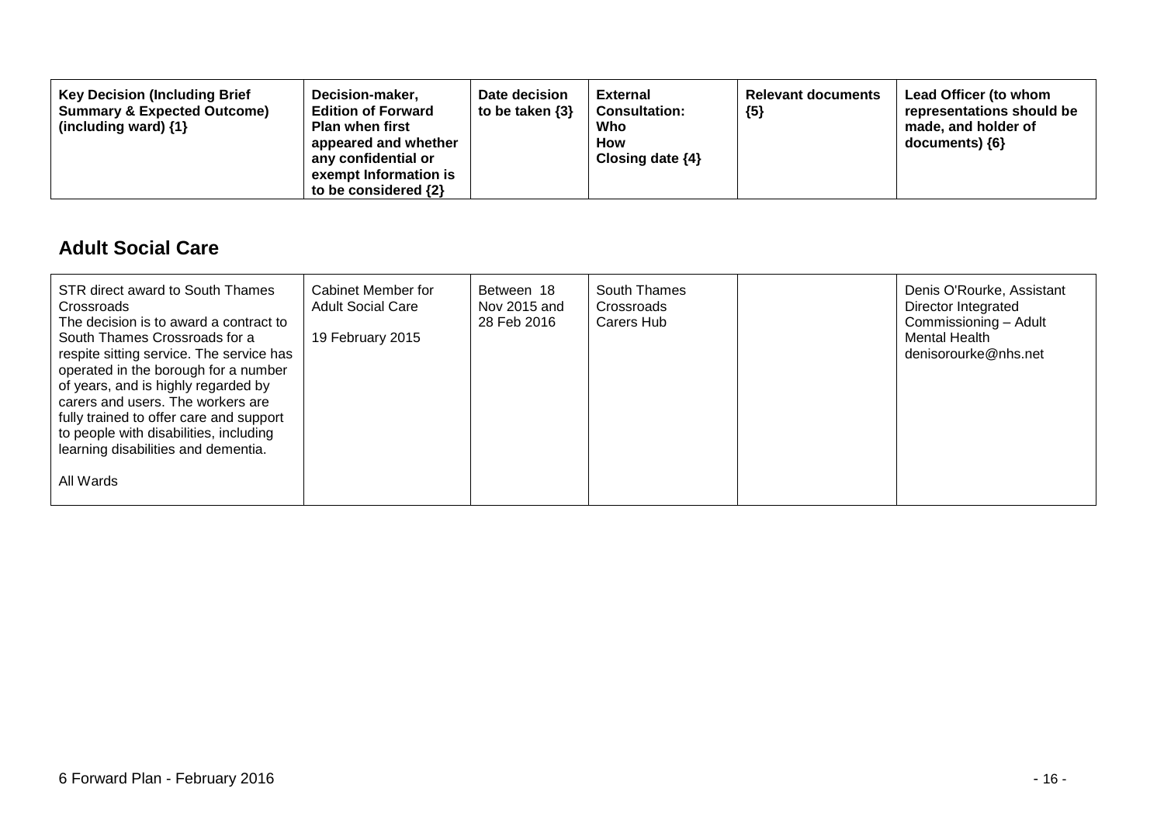| <b>Key Decision (Including Brief</b><br>Decision-maker,<br><b>Summary &amp; Expected Outcome)</b><br><b>Edition of Forward</b><br><b>Plan when first</b><br>(including ward) $\{1\}$<br>appeared and whether<br>any confidential or<br>exempt Information is<br>to be considered $\{2\}$ | Date decision<br>to be taken $\{3\}$ | <b>External</b><br><b>Consultation:</b><br>Who<br><b>How</b><br>Closing date $\{4\}$ | <b>Relevant documents</b><br>${5}$ | Lead Officer (to whom<br>representations should be<br>made, and holder of<br>$documents)$ {6} |
|------------------------------------------------------------------------------------------------------------------------------------------------------------------------------------------------------------------------------------------------------------------------------------------|--------------------------------------|--------------------------------------------------------------------------------------|------------------------------------|-----------------------------------------------------------------------------------------------|
|------------------------------------------------------------------------------------------------------------------------------------------------------------------------------------------------------------------------------------------------------------------------------------------|--------------------------------------|--------------------------------------------------------------------------------------|------------------------------------|-----------------------------------------------------------------------------------------------|

### **Adult Social Care**

| STR direct award to South Thames<br>Crossroads<br>The decision is to award a contract to<br>South Thames Crossroads for a<br>respite sitting service. The service has<br>operated in the borough for a number<br>of years, and is highly regarded by<br>carers and users. The workers are<br>fully trained to offer care and support<br>to people with disabilities, including<br>learning disabilities and dementia. | Cabinet Member for<br><b>Adult Social Care</b><br>19 February 2015 | Between 18<br>Nov 2015 and<br>28 Feb 2016 | South Thames<br>Crossroads<br>Carers Hub | Denis O'Rourke, Assistant<br>Director Integrated<br>Commissioning - Adult<br>Mental Health<br>denisorourke@nhs.net |
|-----------------------------------------------------------------------------------------------------------------------------------------------------------------------------------------------------------------------------------------------------------------------------------------------------------------------------------------------------------------------------------------------------------------------|--------------------------------------------------------------------|-------------------------------------------|------------------------------------------|--------------------------------------------------------------------------------------------------------------------|
| All Wards                                                                                                                                                                                                                                                                                                                                                                                                             |                                                                    |                                           |                                          |                                                                                                                    |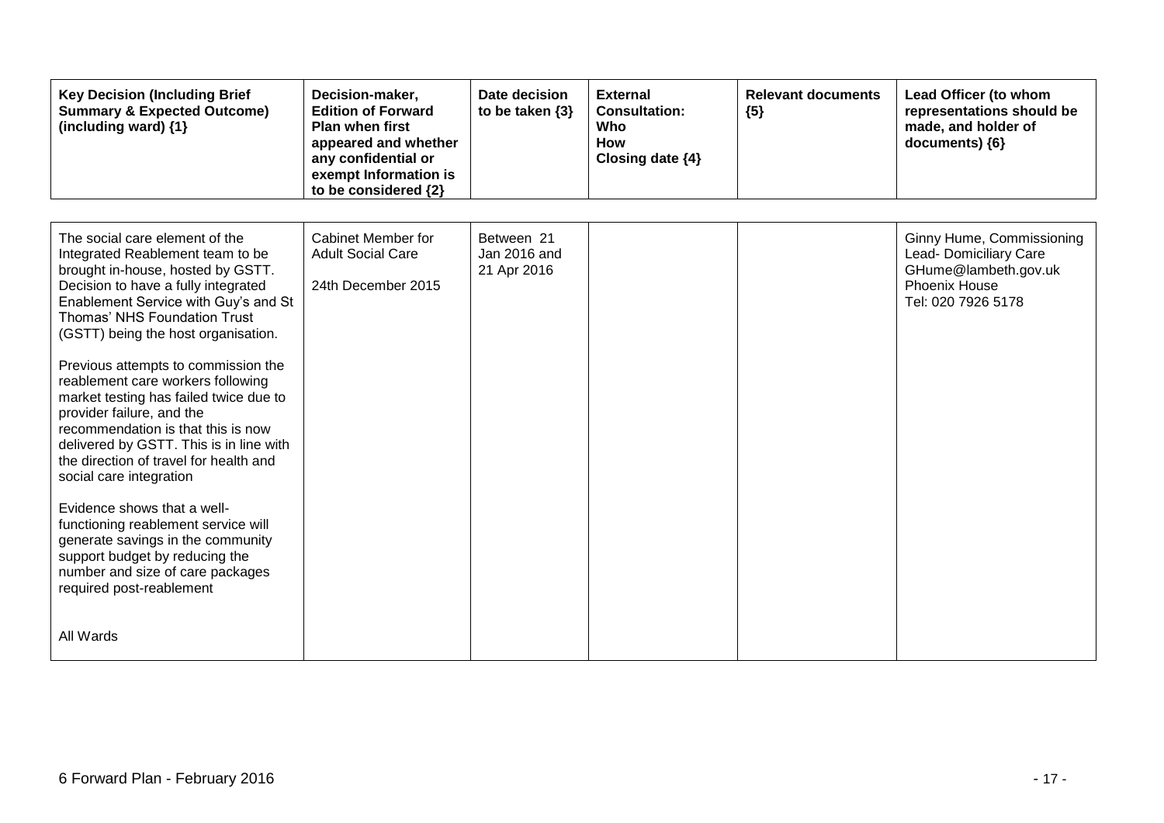| <b>Key Decision (Including Brief</b><br><b>Summary &amp; Expected Outcome)</b><br>(including ward) {1}                                                                                                                                                                                                                                                                                                                                                                                                                                                                                                                                                                                                                                                                                           | Decision-maker,<br><b>Edition of Forward</b><br><b>Plan when first</b><br>appeared and whether<br>any confidential or<br>exempt Information is<br>to be considered {2} | Date decision<br>to be taken $\{3\}$      | <b>External</b><br><b>Consultation:</b><br>Who<br><b>How</b><br>Closing date {4} | <b>Relevant documents</b><br>${5}$ | Lead Officer (to whom<br>representations should be<br>made, and holder of<br>documents) {6}                        |
|--------------------------------------------------------------------------------------------------------------------------------------------------------------------------------------------------------------------------------------------------------------------------------------------------------------------------------------------------------------------------------------------------------------------------------------------------------------------------------------------------------------------------------------------------------------------------------------------------------------------------------------------------------------------------------------------------------------------------------------------------------------------------------------------------|------------------------------------------------------------------------------------------------------------------------------------------------------------------------|-------------------------------------------|----------------------------------------------------------------------------------|------------------------------------|--------------------------------------------------------------------------------------------------------------------|
| The social care element of the<br>Integrated Reablement team to be<br>brought in-house, hosted by GSTT.<br>Decision to have a fully integrated<br>Enablement Service with Guy's and St<br>Thomas' NHS Foundation Trust<br>(GSTT) being the host organisation.<br>Previous attempts to commission the<br>reablement care workers following<br>market testing has failed twice due to<br>provider failure, and the<br>recommendation is that this is now<br>delivered by GSTT. This is in line with<br>the direction of travel for health and<br>social care integration<br>Evidence shows that a well-<br>functioning reablement service will<br>generate savings in the community<br>support budget by reducing the<br>number and size of care packages<br>required post-reablement<br>All Wards | Cabinet Member for<br><b>Adult Social Care</b><br>24th December 2015                                                                                                   | Between 21<br>Jan 2016 and<br>21 Apr 2016 |                                                                                  |                                    | Ginny Hume, Commissioning<br>Lead- Domiciliary Care<br>GHume@lambeth.gov.uk<br>Phoenix House<br>Tel: 020 7926 5178 |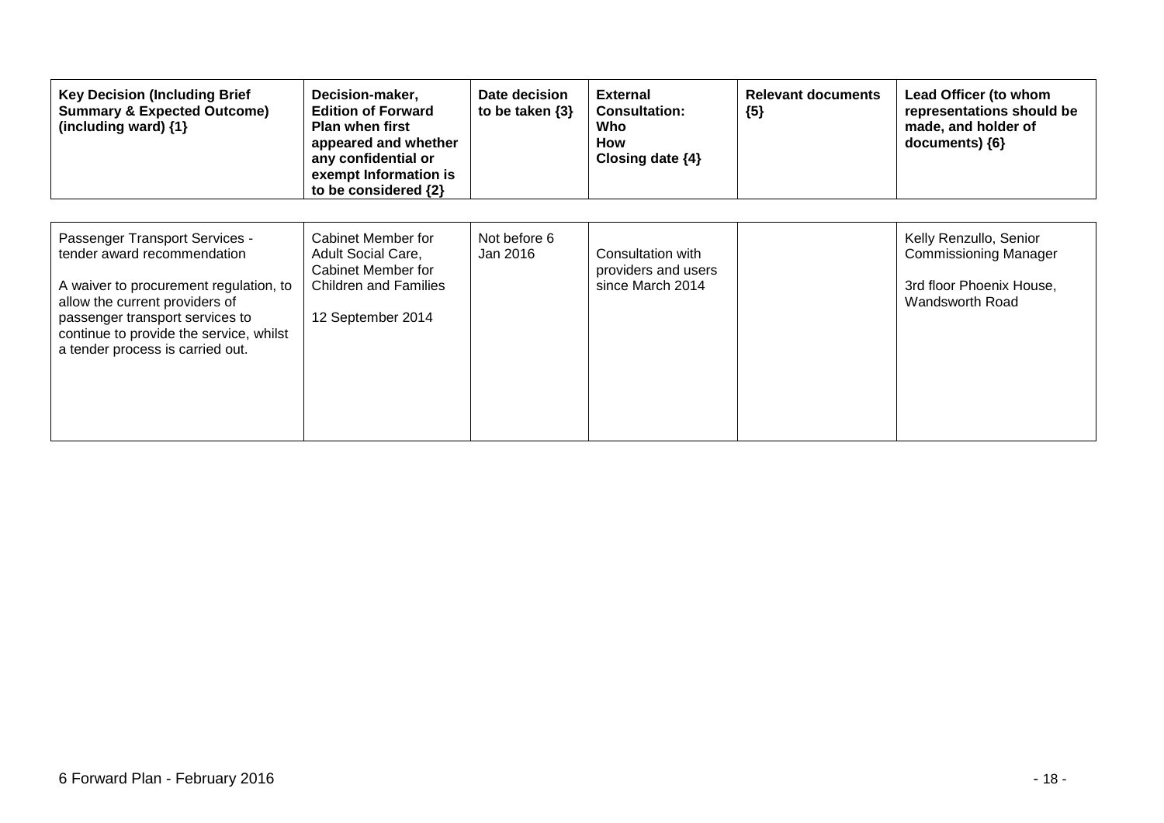| <b>Key Decision (Including Brief</b><br><b>Summary &amp; Expected Outcome)</b><br>(including ward) $\{1\}$                                                                                                                                                  | Decision-maker,<br><b>Edition of Forward</b><br><b>Plan when first</b><br>appeared and whether<br>any confidential or<br>exempt Information is<br>to be considered {2} | Date decision<br>to be taken $\{3\}$ | <b>External</b><br><b>Consultation:</b><br>Who<br>How<br>Closing date $\{4\}$ | <b>Relevant documents</b><br>${5}$ | Lead Officer (to whom<br>representations should be<br>made, and holder of<br>documents) ${6}$         |
|-------------------------------------------------------------------------------------------------------------------------------------------------------------------------------------------------------------------------------------------------------------|------------------------------------------------------------------------------------------------------------------------------------------------------------------------|--------------------------------------|-------------------------------------------------------------------------------|------------------------------------|-------------------------------------------------------------------------------------------------------|
| Passenger Transport Services -<br>tender award recommendation<br>A waiver to procurement regulation, to<br>allow the current providers of<br>passenger transport services to<br>continue to provide the service, whilst<br>a tender process is carried out. | Cabinet Member for<br><b>Adult Social Care,</b><br>Cabinet Member for<br><b>Children and Families</b><br>12 September 2014                                             | Not before 6<br>Jan 2016             | Consultation with<br>providers and users<br>since March 2014                  |                                    | Kelly Renzullo, Senior<br><b>Commissioning Manager</b><br>3rd floor Phoenix House,<br>Wandsworth Road |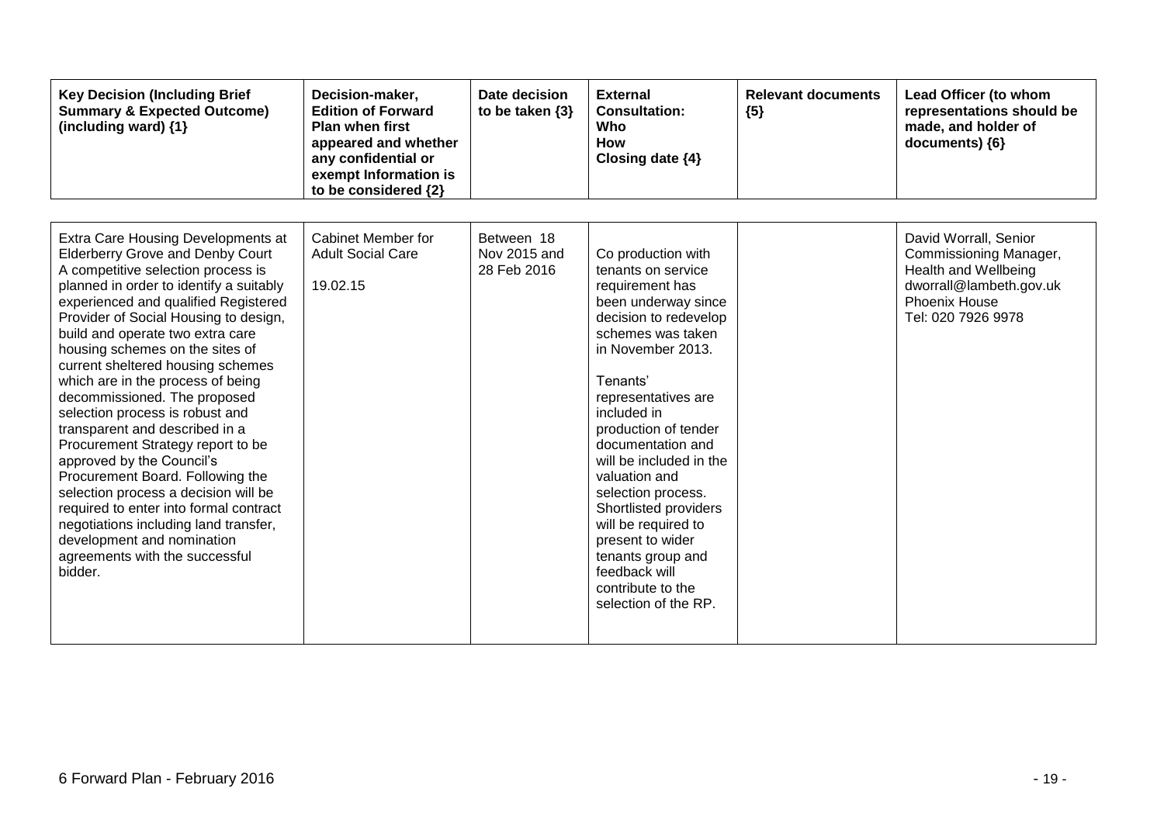| <b>Key Decision (Including Brief</b><br><b>Summary &amp; Expected Outcome)</b><br>(including ward) {1}                                                                                                                                                                                                                                                                                                                                                                                                                                                                                                                                                                                                                                                                                                            | Decision-maker,<br><b>Edition of Forward</b><br><b>Plan when first</b><br>appeared and whether<br>any confidential or<br>exempt Information is<br>to be considered {2} | Date decision<br>to be taken $\{3\}$      | <b>External</b><br><b>Consultation:</b><br>Who<br><b>How</b><br>Closing date $\{4\}$                                                                                                                                                                                                                                                                                                                                                                                          | <b>Relevant documents</b><br>${5}$ | Lead Officer (to whom<br>representations should be<br>made, and holder of<br>documents) {6}                                               |
|-------------------------------------------------------------------------------------------------------------------------------------------------------------------------------------------------------------------------------------------------------------------------------------------------------------------------------------------------------------------------------------------------------------------------------------------------------------------------------------------------------------------------------------------------------------------------------------------------------------------------------------------------------------------------------------------------------------------------------------------------------------------------------------------------------------------|------------------------------------------------------------------------------------------------------------------------------------------------------------------------|-------------------------------------------|-------------------------------------------------------------------------------------------------------------------------------------------------------------------------------------------------------------------------------------------------------------------------------------------------------------------------------------------------------------------------------------------------------------------------------------------------------------------------------|------------------------------------|-------------------------------------------------------------------------------------------------------------------------------------------|
| Extra Care Housing Developments at<br><b>Elderberry Grove and Denby Court</b><br>A competitive selection process is<br>planned in order to identify a suitably<br>experienced and qualified Registered<br>Provider of Social Housing to design,<br>build and operate two extra care<br>housing schemes on the sites of<br>current sheltered housing schemes<br>which are in the process of being<br>decommissioned. The proposed<br>selection process is robust and<br>transparent and described in a<br>Procurement Strategy report to be<br>approved by the Council's<br>Procurement Board. Following the<br>selection process a decision will be<br>required to enter into formal contract<br>negotiations including land transfer,<br>development and nomination<br>agreements with the successful<br>bidder. | Cabinet Member for<br><b>Adult Social Care</b><br>19.02.15                                                                                                             | Between 18<br>Nov 2015 and<br>28 Feb 2016 | Co production with<br>tenants on service<br>requirement has<br>been underway since<br>decision to redevelop<br>schemes was taken<br>in November 2013.<br>Tenants'<br>representatives are<br>included in<br>production of tender<br>documentation and<br>will be included in the<br>valuation and<br>selection process.<br>Shortlisted providers<br>will be required to<br>present to wider<br>tenants group and<br>feedback will<br>contribute to the<br>selection of the RP. |                                    | David Worrall, Senior<br>Commissioning Manager,<br>Health and Wellbeing<br>dworrall@lambeth.gov.uk<br>Phoenix House<br>Tel: 020 7926 9978 |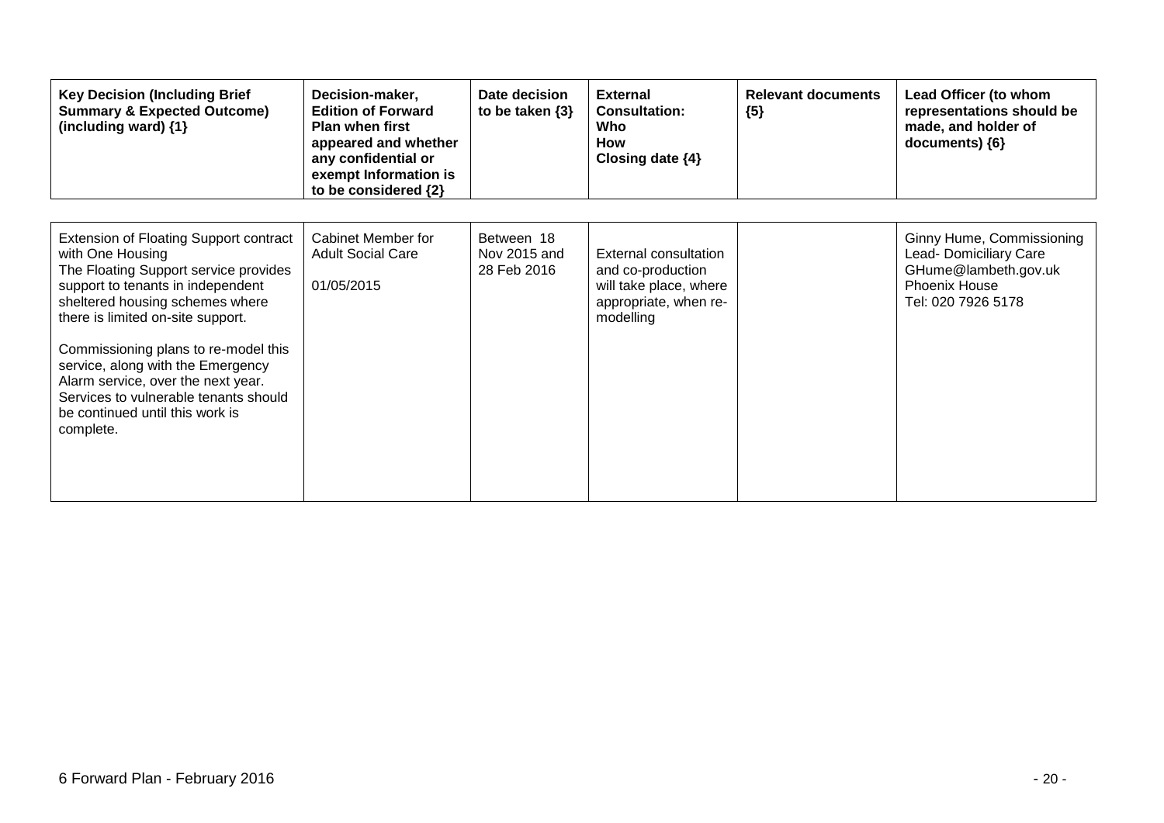| <b>Key Decision (Including Brief</b><br><b>Summary &amp; Expected Outcome)</b><br>(including ward) {1}                                                                                                                                                                                                                                                                                                                              | Decision-maker,<br><b>Edition of Forward</b><br>Plan when first<br>appeared and whether<br>any confidential or<br>exempt Information is<br>to be considered {2} | Date decision<br>to be taken $\{3\}$      | <b>External</b><br><b>Consultation:</b><br>Who<br><b>How</b><br>Closing date {4}                                  | <b>Relevant documents</b><br>${5}$ | Lead Officer (to whom<br>representations should be<br>made, and holder of<br>documents) ${6}$                             |
|-------------------------------------------------------------------------------------------------------------------------------------------------------------------------------------------------------------------------------------------------------------------------------------------------------------------------------------------------------------------------------------------------------------------------------------|-----------------------------------------------------------------------------------------------------------------------------------------------------------------|-------------------------------------------|-------------------------------------------------------------------------------------------------------------------|------------------------------------|---------------------------------------------------------------------------------------------------------------------------|
| <b>Extension of Floating Support contract</b><br>with One Housing<br>The Floating Support service provides<br>support to tenants in independent<br>sheltered housing schemes where<br>there is limited on-site support.<br>Commissioning plans to re-model this<br>service, along with the Emergency<br>Alarm service, over the next year.<br>Services to vulnerable tenants should<br>be continued until this work is<br>complete. | Cabinet Member for<br><b>Adult Social Care</b><br>01/05/2015                                                                                                    | Between 18<br>Nov 2015 and<br>28 Feb 2016 | <b>External consultation</b><br>and co-production<br>will take place, where<br>appropriate, when re-<br>modelling |                                    | Ginny Hume, Commissioning<br>Lead- Domiciliary Care<br>GHume@lambeth.gov.uk<br><b>Phoenix House</b><br>Tel: 020 7926 5178 |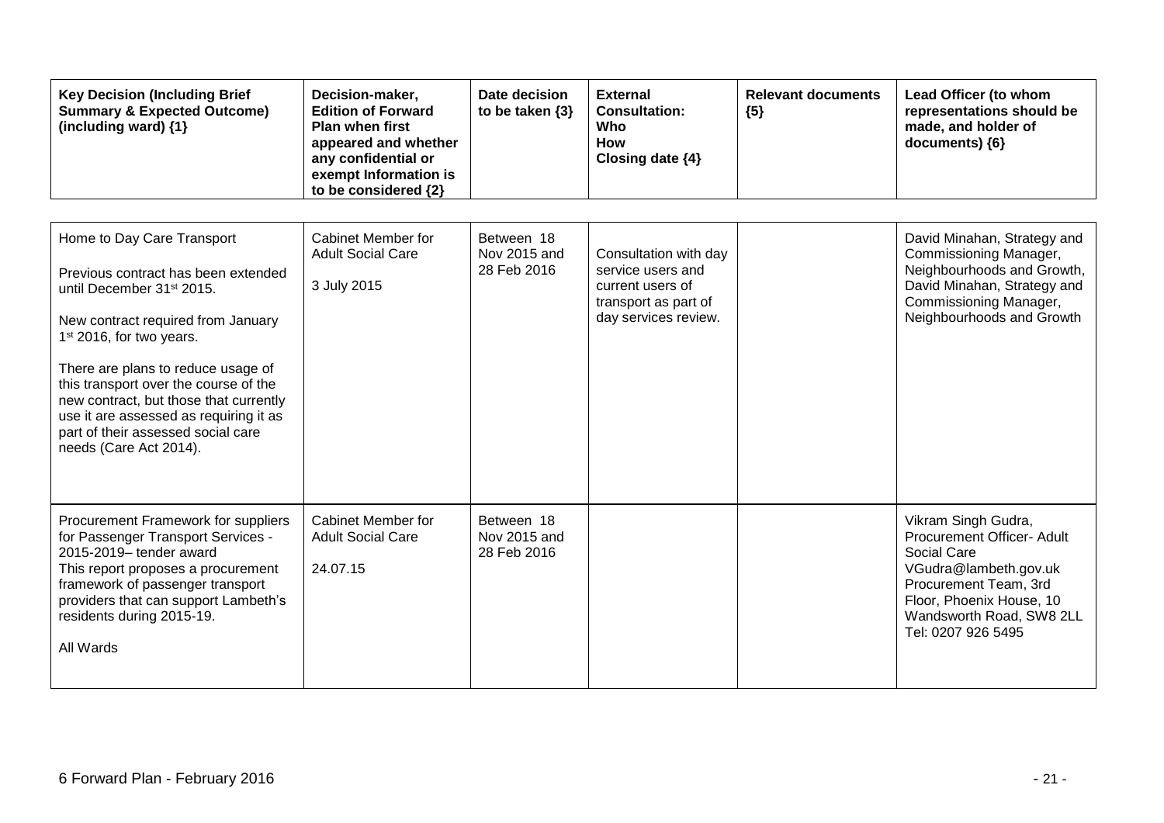| <b>Key Decision (Including Brief</b><br><b>Summary &amp; Expected Outcome)</b><br>(including ward) {1}                                                                                                                                                                                                                                                                                                                      | Decision-maker,<br><b>Edition of Forward</b><br><b>Plan when first</b><br>appeared and whether<br>any confidential or<br>exempt Information is<br>to be considered {2} | Date decision<br>to be taken $\{3\}$      | <b>External</b><br><b>Consultation:</b><br>Who<br><b>How</b><br>Closing date $\{4\}$                           | <b>Relevant documents</b><br>${5}$ | Lead Officer (to whom<br>representations should be<br>made, and holder of<br>documents) {6}                                                                                                      |
|-----------------------------------------------------------------------------------------------------------------------------------------------------------------------------------------------------------------------------------------------------------------------------------------------------------------------------------------------------------------------------------------------------------------------------|------------------------------------------------------------------------------------------------------------------------------------------------------------------------|-------------------------------------------|----------------------------------------------------------------------------------------------------------------|------------------------------------|--------------------------------------------------------------------------------------------------------------------------------------------------------------------------------------------------|
| Home to Day Care Transport<br>Previous contract has been extended<br>until December 31 <sup>st</sup> 2015.<br>New contract required from January<br>1 <sup>st</sup> 2016, for two years.<br>There are plans to reduce usage of<br>this transport over the course of the<br>new contract, but those that currently<br>use it are assessed as requiring it as<br>part of their assessed social care<br>needs (Care Act 2014). | Cabinet Member for<br><b>Adult Social Care</b><br>3 July 2015                                                                                                          | Between 18<br>Nov 2015 and<br>28 Feb 2016 | Consultation with day<br>service users and<br>current users of<br>transport as part of<br>day services review. |                                    | David Minahan, Strategy and<br>Commissioning Manager,<br>Neighbourhoods and Growth,<br>David Minahan, Strategy and<br>Commissioning Manager,<br>Neighbourhoods and Growth                        |
| Procurement Framework for suppliers<br>for Passenger Transport Services -<br>2015-2019- tender award<br>This report proposes a procurement<br>framework of passenger transport<br>providers that can support Lambeth's<br>residents during 2015-19.<br>All Wards                                                                                                                                                            | Cabinet Member for<br><b>Adult Social Care</b><br>24.07.15                                                                                                             | Between 18<br>Nov 2015 and<br>28 Feb 2016 |                                                                                                                |                                    | Vikram Singh Gudra,<br>Procurement Officer- Adult<br>Social Care<br>VGudra@lambeth.gov.uk<br>Procurement Team, 3rd<br>Floor, Phoenix House, 10<br>Wandsworth Road, SW8 2LL<br>Tel: 0207 926 5495 |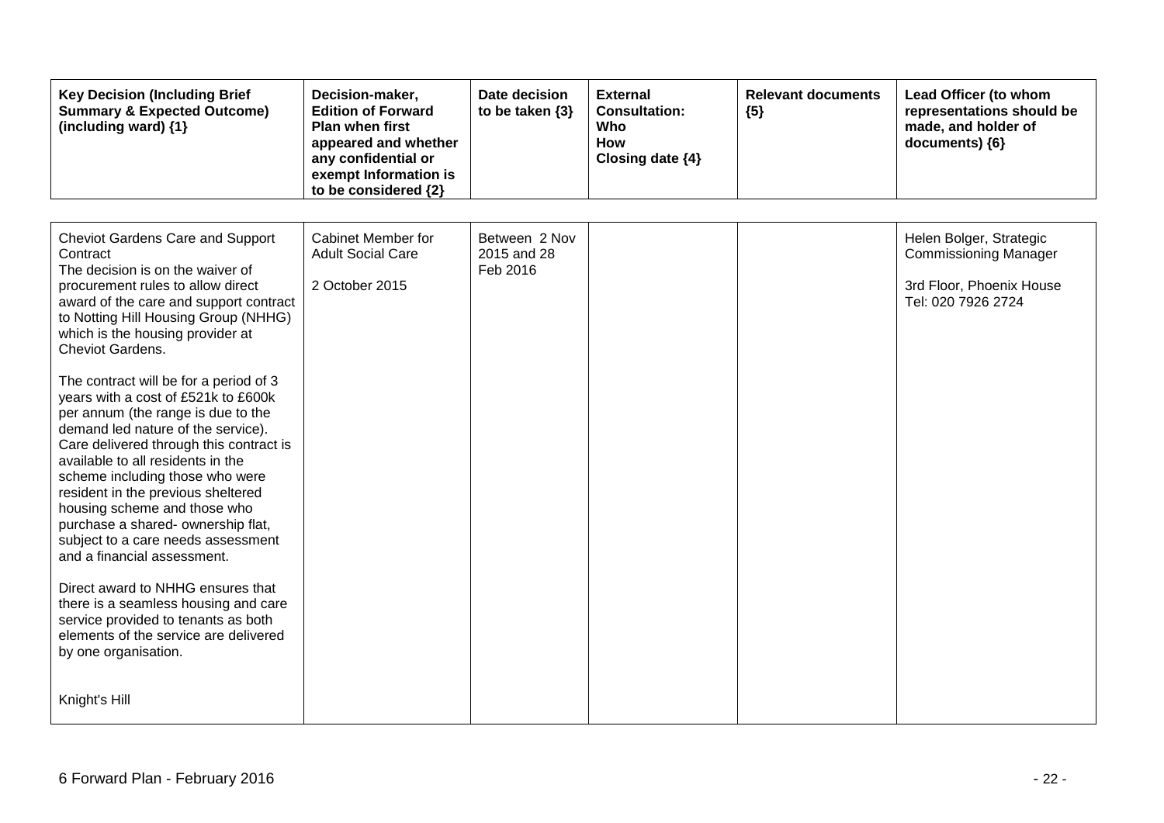| <b>Key Decision (Including Brief</b><br><b>Summary &amp; Expected Outcome)</b><br>(including ward) {1}                                                                                                                                                                                                                                                                                                                                                                                                                                                                                                                                                                                                                                                                                                                                                                                                                                        | Decision-maker,<br><b>Edition of Forward</b><br><b>Plan when first</b><br>appeared and whether<br>any confidential or<br>exempt Information is<br>to be considered {2} | Date decision<br>to be taken $\{3\}$     | <b>External</b><br><b>Consultation:</b><br>Who<br>How<br>Closing date {4} | <b>Relevant documents</b><br>${5}$ | Lead Officer (to whom<br>representations should be<br>made, and holder of<br>documents) {6}               |
|-----------------------------------------------------------------------------------------------------------------------------------------------------------------------------------------------------------------------------------------------------------------------------------------------------------------------------------------------------------------------------------------------------------------------------------------------------------------------------------------------------------------------------------------------------------------------------------------------------------------------------------------------------------------------------------------------------------------------------------------------------------------------------------------------------------------------------------------------------------------------------------------------------------------------------------------------|------------------------------------------------------------------------------------------------------------------------------------------------------------------------|------------------------------------------|---------------------------------------------------------------------------|------------------------------------|-----------------------------------------------------------------------------------------------------------|
| <b>Cheviot Gardens Care and Support</b><br>Contract<br>The decision is on the waiver of<br>procurement rules to allow direct<br>award of the care and support contract<br>to Notting Hill Housing Group (NHHG)<br>which is the housing provider at<br>Cheviot Gardens.<br>The contract will be for a period of 3<br>years with a cost of £521k to £600k<br>per annum (the range is due to the<br>demand led nature of the service).<br>Care delivered through this contract is<br>available to all residents in the<br>scheme including those who were<br>resident in the previous sheltered<br>housing scheme and those who<br>purchase a shared- ownership flat,<br>subject to a care needs assessment<br>and a financial assessment.<br>Direct award to NHHG ensures that<br>there is a seamless housing and care<br>service provided to tenants as both<br>elements of the service are delivered<br>by one organisation.<br>Knight's Hill | <b>Cabinet Member for</b><br><b>Adult Social Care</b><br>2 October 2015                                                                                                | Between 2 Nov<br>2015 and 28<br>Feb 2016 |                                                                           |                                    | Helen Bolger, Strategic<br><b>Commissioning Manager</b><br>3rd Floor, Phoenix House<br>Tel: 020 7926 2724 |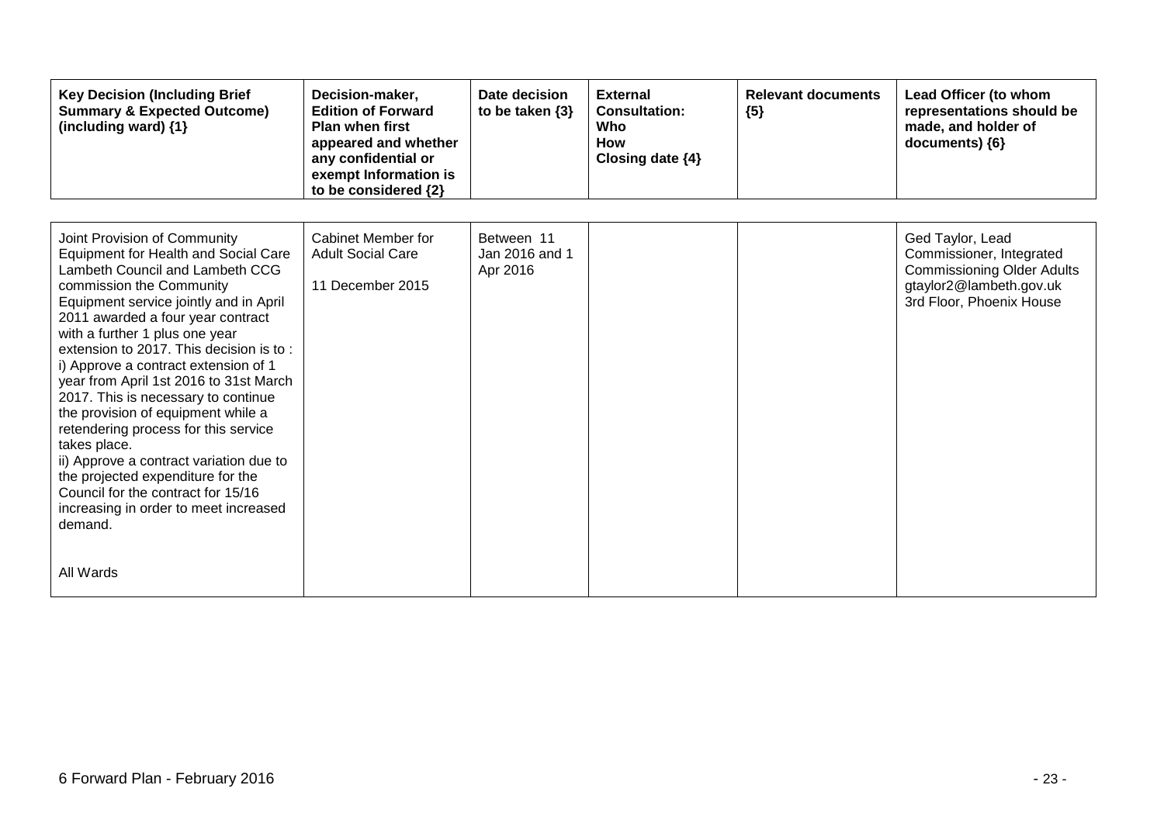| <b>Key Decision (Including Brief</b><br><b>Summary &amp; Expected Outcome)</b><br>(including ward) $\{1\}$                                                                                                                                                                                                                                                                                                                                                                                                                                                                                                                                                                                                           | Decision-maker,<br><b>Edition of Forward</b><br><b>Plan when first</b><br>appeared and whether<br>any confidential or<br>exempt Information is<br>to be considered {2} | Date decision<br>to be taken $\{3\}$     | <b>External</b><br><b>Consultation:</b><br>Who<br><b>How</b><br>Closing date {4} | <b>Relevant documents</b><br>${5}$ | Lead Officer (to whom<br>representations should be<br>made, and holder of<br>documents) ${6}$                                            |
|----------------------------------------------------------------------------------------------------------------------------------------------------------------------------------------------------------------------------------------------------------------------------------------------------------------------------------------------------------------------------------------------------------------------------------------------------------------------------------------------------------------------------------------------------------------------------------------------------------------------------------------------------------------------------------------------------------------------|------------------------------------------------------------------------------------------------------------------------------------------------------------------------|------------------------------------------|----------------------------------------------------------------------------------|------------------------------------|------------------------------------------------------------------------------------------------------------------------------------------|
| Joint Provision of Community<br><b>Equipment for Health and Social Care</b><br>Lambeth Council and Lambeth CCG<br>commission the Community<br>Equipment service jointly and in April<br>2011 awarded a four year contract<br>with a further 1 plus one year<br>extension to 2017. This decision is to:<br>i) Approve a contract extension of 1<br>year from April 1st 2016 to 31st March<br>2017. This is necessary to continue<br>the provision of equipment while a<br>retendering process for this service<br>takes place.<br>ii) Approve a contract variation due to<br>the projected expenditure for the<br>Council for the contract for 15/16<br>increasing in order to meet increased<br>demand.<br>All Wards | Cabinet Member for<br><b>Adult Social Care</b><br>11 December 2015                                                                                                     | Between 11<br>Jan 2016 and 1<br>Apr 2016 |                                                                                  |                                    | Ged Taylor, Lead<br>Commissioner, Integrated<br><b>Commissioning Older Adults</b><br>gtaylor2@lambeth.gov.uk<br>3rd Floor, Phoenix House |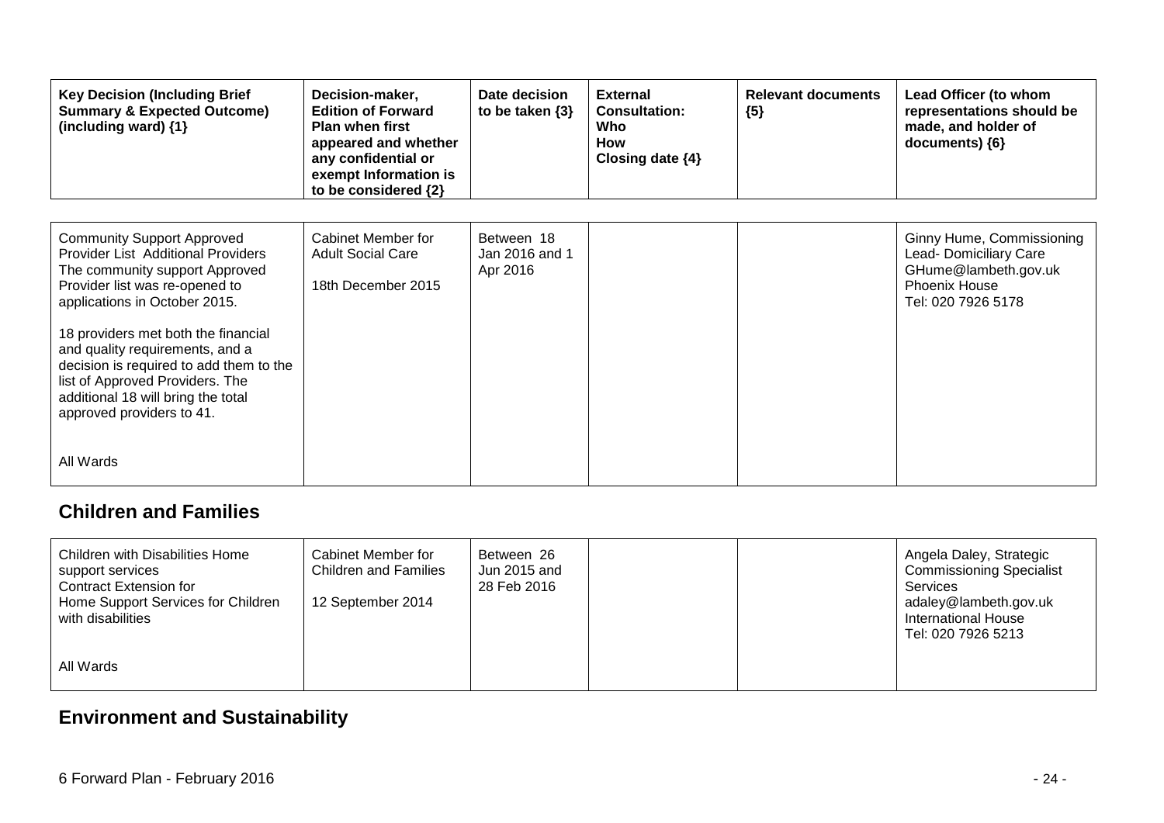| <b>Key Decision (Including Brief</b><br><b>Summary &amp; Expected Outcome)</b><br>(including ward) $\{1\}$                                                                                                                                                                                                                                                                                                                  | Decision-maker,<br><b>Edition of Forward</b><br><b>Plan when first</b><br>appeared and whether<br>any confidential or<br>exempt Information is<br>to be considered {2} | Date decision<br>to be taken $\{3\}$     | <b>External</b><br><b>Consultation:</b><br>Who<br>How<br>Closing date $\{4\}$ | <b>Relevant documents</b><br>${5}$ | Lead Officer (to whom<br>representations should be<br>made, and holder of<br>documents) ${6}$                             |
|-----------------------------------------------------------------------------------------------------------------------------------------------------------------------------------------------------------------------------------------------------------------------------------------------------------------------------------------------------------------------------------------------------------------------------|------------------------------------------------------------------------------------------------------------------------------------------------------------------------|------------------------------------------|-------------------------------------------------------------------------------|------------------------------------|---------------------------------------------------------------------------------------------------------------------------|
| <b>Community Support Approved</b><br><b>Provider List Additional Providers</b><br>The community support Approved<br>Provider list was re-opened to<br>applications in October 2015.<br>18 providers met both the financial<br>and quality requirements, and a<br>decision is required to add them to the<br>list of Approved Providers. The<br>additional 18 will bring the total<br>approved providers to 41.<br>All Wards | Cabinet Member for<br><b>Adult Social Care</b><br>18th December 2015                                                                                                   | Between 18<br>Jan 2016 and 1<br>Apr 2016 |                                                                               |                                    | Ginny Hume, Commissioning<br>Lead- Domiciliary Care<br>GHume@lambeth.gov.uk<br><b>Phoenix House</b><br>Tel: 020 7926 5178 |

#### **Children and Families**

| <b>Children with Disabilities Home</b><br>support services<br>Contract Extension for<br>Home Support Services for Children<br>with disabilities | Cabinet Member for<br><b>Children and Families</b><br>12 September 2014 | Between 26<br>Jun 2015 and<br>28 Feb 2016 |  | Angela Daley, Strategic<br><b>Commissioning Specialist</b><br><b>Services</b><br>adaley@lambeth.gov.uk<br><b>International House</b><br>Tel: 020 7926 5213 |
|-------------------------------------------------------------------------------------------------------------------------------------------------|-------------------------------------------------------------------------|-------------------------------------------|--|------------------------------------------------------------------------------------------------------------------------------------------------------------|
| All Wards                                                                                                                                       |                                                                         |                                           |  |                                                                                                                                                            |

## **Environment and Sustainability**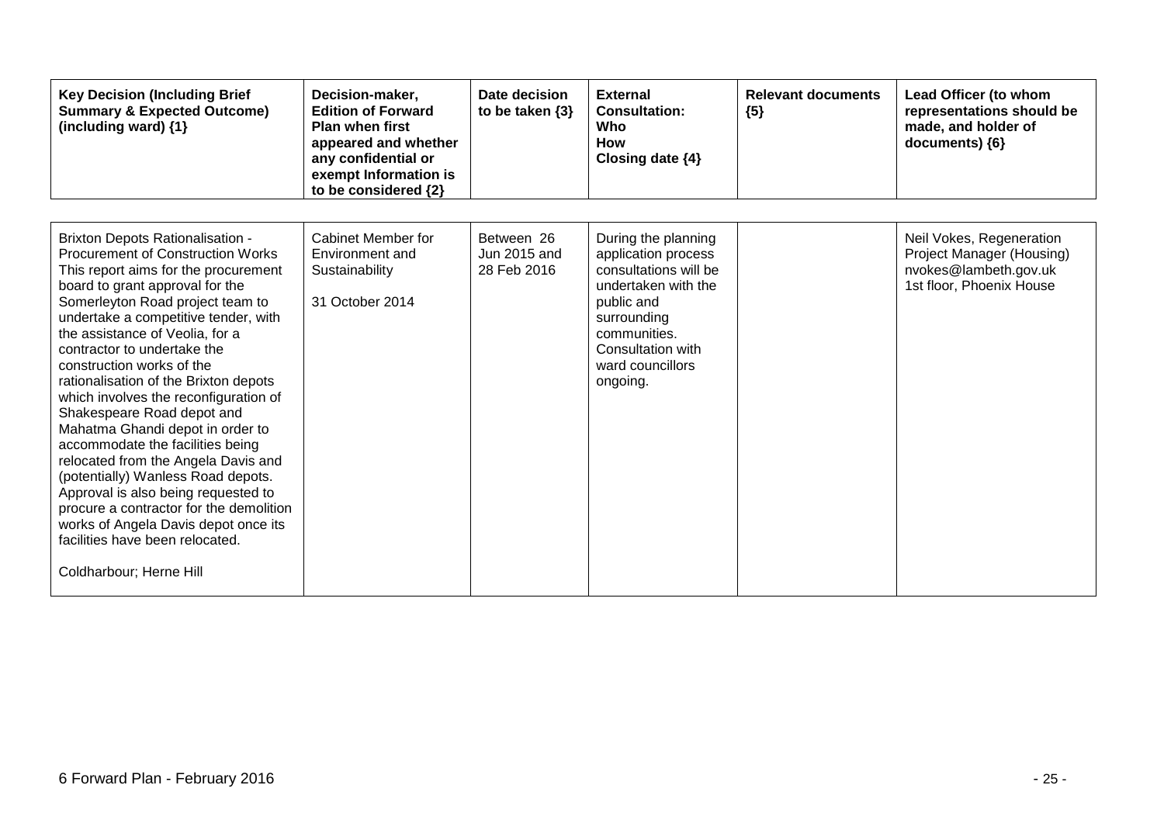| <b>Key Decision (Including Brief</b><br><b>Summary &amp; Expected Outcome)</b><br>(including ward) {1}                                                                                                                                                                                                                                                                                                                                                                                                                                                                                                                                                                                                                                                                                                 | Decision-maker,<br><b>Edition of Forward</b><br><b>Plan when first</b><br>appeared and whether<br>any confidential or<br>exempt Information is<br>to be considered {2} | Date decision<br>to be taken $\{3\}$      | <b>External</b><br><b>Consultation:</b><br>Who<br>How<br>Closing date {4}                                                                                                                    | <b>Relevant documents</b><br>${5}$ | Lead Officer (to whom<br>representations should be<br>made, and holder of<br>documents) {6}                |
|--------------------------------------------------------------------------------------------------------------------------------------------------------------------------------------------------------------------------------------------------------------------------------------------------------------------------------------------------------------------------------------------------------------------------------------------------------------------------------------------------------------------------------------------------------------------------------------------------------------------------------------------------------------------------------------------------------------------------------------------------------------------------------------------------------|------------------------------------------------------------------------------------------------------------------------------------------------------------------------|-------------------------------------------|----------------------------------------------------------------------------------------------------------------------------------------------------------------------------------------------|------------------------------------|------------------------------------------------------------------------------------------------------------|
| <b>Brixton Depots Rationalisation -</b><br><b>Procurement of Construction Works</b><br>This report aims for the procurement<br>board to grant approval for the<br>Somerleyton Road project team to<br>undertake a competitive tender, with<br>the assistance of Veolia, for a<br>contractor to undertake the<br>construction works of the<br>rationalisation of the Brixton depots<br>which involves the reconfiguration of<br>Shakespeare Road depot and<br>Mahatma Ghandi depot in order to<br>accommodate the facilities being<br>relocated from the Angela Davis and<br>(potentially) Wanless Road depots.<br>Approval is also being requested to<br>procure a contractor for the demolition<br>works of Angela Davis depot once its<br>facilities have been relocated.<br>Coldharbour; Herne Hill | Cabinet Member for<br>Environment and<br>Sustainability<br>31 October 2014                                                                                             | Between 26<br>Jun 2015 and<br>28 Feb 2016 | During the planning<br>application process<br>consultations will be<br>undertaken with the<br>public and<br>surrounding<br>communities.<br>Consultation with<br>ward councillors<br>ongoing. |                                    | Neil Vokes, Regeneration<br>Project Manager (Housing)<br>nvokes@lambeth.gov.uk<br>1st floor, Phoenix House |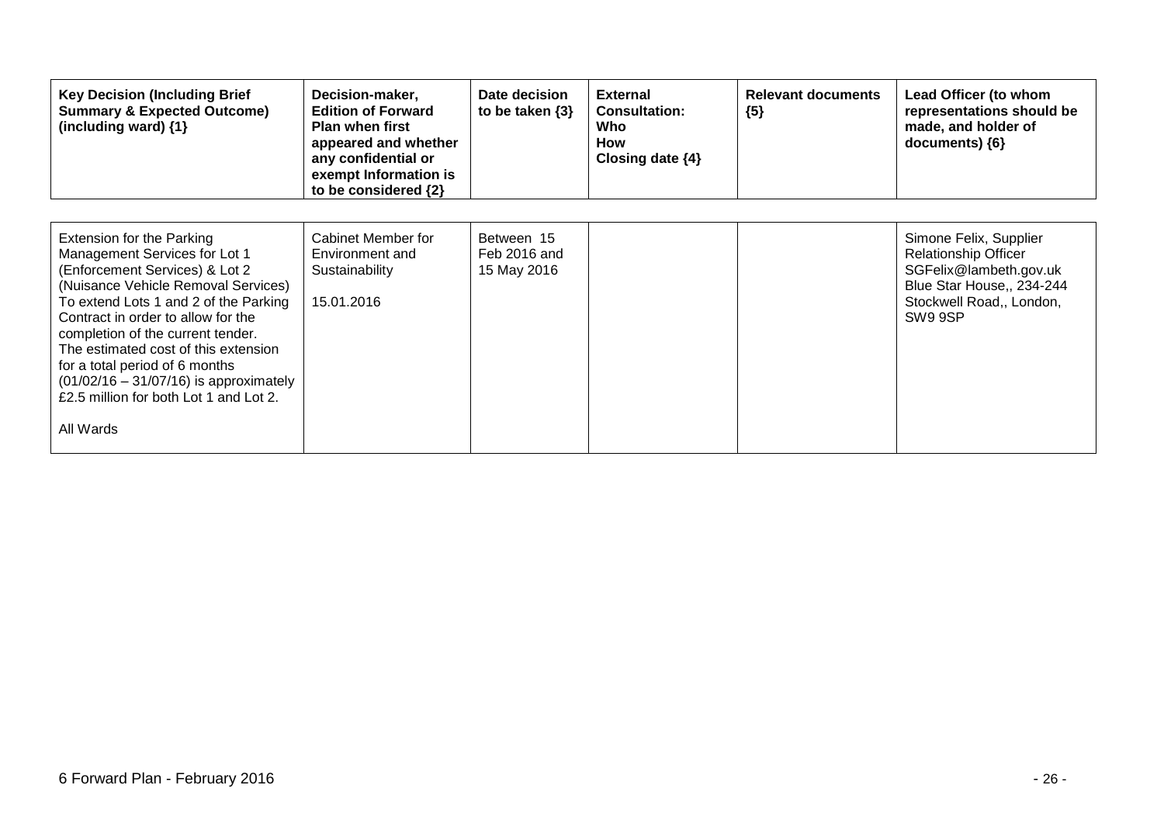| <b>Key Decision (Including Brief</b><br><b>Summary &amp; Expected Outcome)</b><br>(including ward) $\{1\}$                                                                                                                                                                                                                                                                                                                                  | Decision-maker,<br><b>Edition of Forward</b><br><b>Plan when first</b><br>appeared and whether<br>any confidential or<br>exempt Information is<br>to be considered {2} | Date decision<br>to be taken $\{3\}$      | <b>External</b><br><b>Consultation:</b><br>Who<br>How<br>Closing date $\{4\}$ | <b>Relevant documents</b><br>${5}$ | Lead Officer (to whom<br>representations should be<br>made, and holder of<br>documents) $\{6\}$                                                     |
|---------------------------------------------------------------------------------------------------------------------------------------------------------------------------------------------------------------------------------------------------------------------------------------------------------------------------------------------------------------------------------------------------------------------------------------------|------------------------------------------------------------------------------------------------------------------------------------------------------------------------|-------------------------------------------|-------------------------------------------------------------------------------|------------------------------------|-----------------------------------------------------------------------------------------------------------------------------------------------------|
| <b>Extension for the Parking</b><br>Management Services for Lot 1<br>(Enforcement Services) & Lot 2<br>(Nuisance Vehicle Removal Services)<br>To extend Lots 1 and 2 of the Parking<br>Contract in order to allow for the<br>completion of the current tender.<br>The estimated cost of this extension<br>for a total period of 6 months<br>$(01/02/16 - 31/07/16)$ is approximately<br>£2.5 million for both Lot 1 and Lot 2.<br>All Wards | Cabinet Member for<br>Environment and<br>Sustainability<br>15.01.2016                                                                                                  | Between 15<br>Feb 2016 and<br>15 May 2016 |                                                                               |                                    | Simone Felix, Supplier<br><b>Relationship Officer</b><br>SGFelix@lambeth.gov.uk<br>Blue Star House,, 234-244<br>Stockwell Road,, London,<br>SW9 9SP |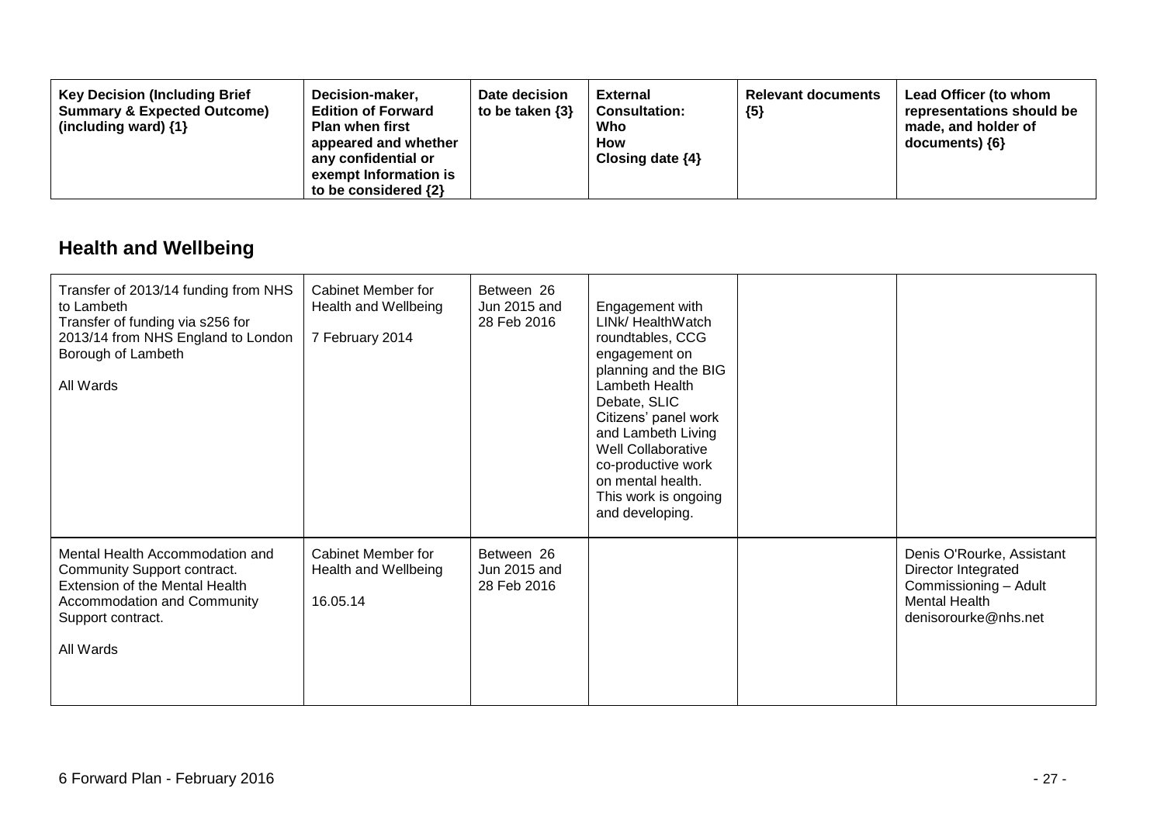| <b>Key Decision (Including Brief</b><br>Decision-maker,<br><b>Summary &amp; Expected Outcome)</b><br><b>Edition of Forward</b><br>(including ward) $\{1\}$<br><b>Plan when first</b><br>appeared and whether<br>any confidential or<br>exempt Information is<br>to be considered $\{2\}$ | Date decision<br>to be taken $\{3\}$ | <b>External</b><br><b>Consultation:</b><br>Who<br><b>How</b><br>Closing date $\{4\}$ | <b>Relevant documents</b><br>${5}$ | Lead Officer (to whom<br>representations should be<br>made, and holder of<br>documents) ${6}$ |
|------------------------------------------------------------------------------------------------------------------------------------------------------------------------------------------------------------------------------------------------------------------------------------------|--------------------------------------|--------------------------------------------------------------------------------------|------------------------------------|-----------------------------------------------------------------------------------------------|
|------------------------------------------------------------------------------------------------------------------------------------------------------------------------------------------------------------------------------------------------------------------------------------------|--------------------------------------|--------------------------------------------------------------------------------------|------------------------------------|-----------------------------------------------------------------------------------------------|

## **Health and Wellbeing**

| Transfer of 2013/14 funding from NHS<br>to Lambeth<br>Transfer of funding via s256 for<br>2013/14 from NHS England to London<br>Borough of Lambeth<br>All Wards   | Cabinet Member for<br>Health and Wellbeing<br>7 February 2014 | Between 26<br>Jun 2015 and<br>28 Feb 2016 | Engagement with<br>LINk/ HealthWatch<br>roundtables, CCG<br>engagement on<br>planning and the BIG<br>Lambeth Health<br>Debate, SLIC<br>Citizens' panel work<br>and Lambeth Living<br>Well Collaborative<br>co-productive work<br>on mental health.<br>This work is ongoing<br>and developing. |                                                                                                                           |
|-------------------------------------------------------------------------------------------------------------------------------------------------------------------|---------------------------------------------------------------|-------------------------------------------|-----------------------------------------------------------------------------------------------------------------------------------------------------------------------------------------------------------------------------------------------------------------------------------------------|---------------------------------------------------------------------------------------------------------------------------|
| Mental Health Accommodation and<br>Community Support contract.<br>Extension of the Mental Health<br>Accommodation and Community<br>Support contract.<br>All Wards | Cabinet Member for<br>Health and Wellbeing<br>16.05.14        | Between 26<br>Jun 2015 and<br>28 Feb 2016 |                                                                                                                                                                                                                                                                                               | Denis O'Rourke, Assistant<br>Director Integrated<br>Commissioning - Adult<br><b>Mental Health</b><br>denisorourke@nhs.net |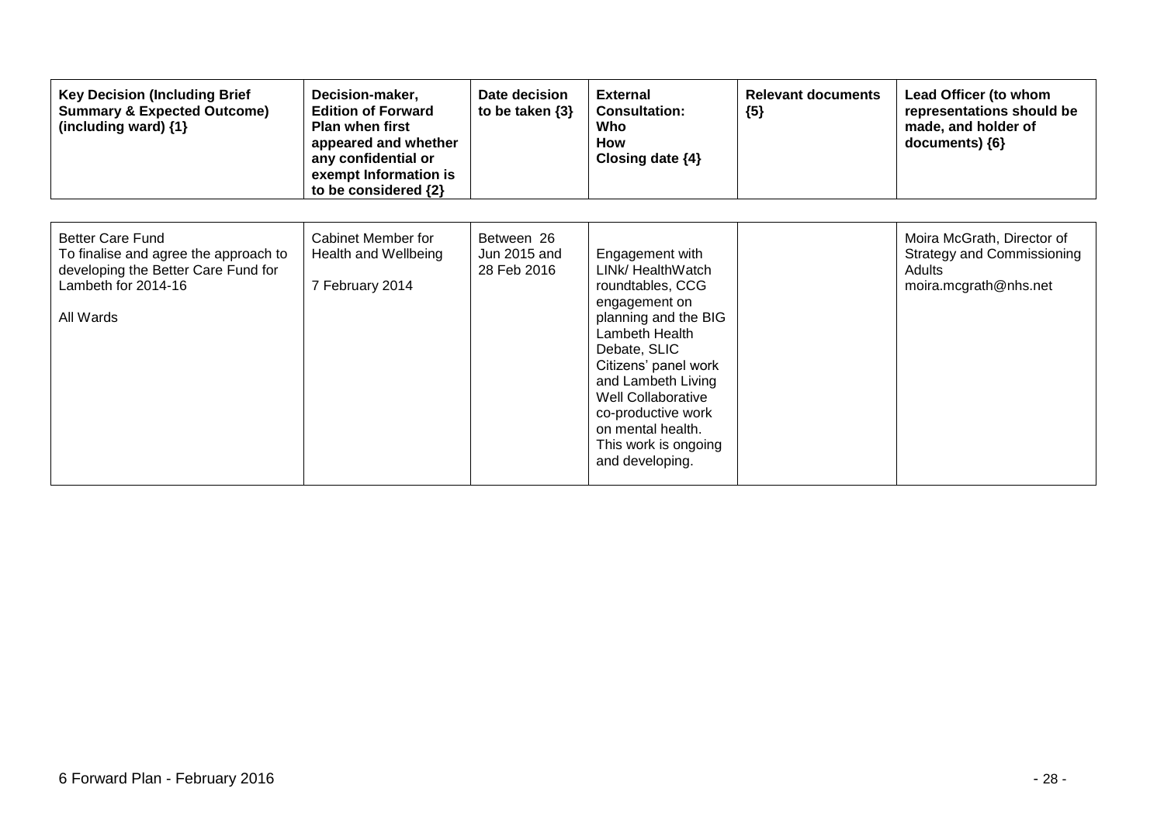| <b>Key Decision (Including Brief</b><br><b>Summary &amp; Expected Outcome)</b><br>(including ward) {1}                                      | Decision-maker,<br><b>Edition of Forward</b><br><b>Plan when first</b><br>appeared and whether<br>any confidential or<br>exempt Information is<br>to be considered {2} | Date decision<br>to be taken $\{3\}$      | <b>External</b><br><b>Consultation:</b><br>Who<br><b>How</b><br>Closing date $\{4\}$                                                                                                                                                                                                          | <b>Relevant documents</b><br>${5}$ | Lead Officer (to whom<br>representations should be<br>made, and holder of<br>documents) ${6}$      |
|---------------------------------------------------------------------------------------------------------------------------------------------|------------------------------------------------------------------------------------------------------------------------------------------------------------------------|-------------------------------------------|-----------------------------------------------------------------------------------------------------------------------------------------------------------------------------------------------------------------------------------------------------------------------------------------------|------------------------------------|----------------------------------------------------------------------------------------------------|
| <b>Better Care Fund</b><br>To finalise and agree the approach to<br>developing the Better Care Fund for<br>Lambeth for 2014-16<br>All Wards | Cabinet Member for<br>Health and Wellbeing<br>7 February 2014                                                                                                          | Between 26<br>Jun 2015 and<br>28 Feb 2016 | Engagement with<br>LINk/ HealthWatch<br>roundtables, CCG<br>engagement on<br>planning and the BIG<br>Lambeth Health<br>Debate, SLIC<br>Citizens' panel work<br>and Lambeth Living<br>Well Collaborative<br>co-productive work<br>on mental health.<br>This work is ongoing<br>and developing. |                                    | Moira McGrath, Director of<br><b>Strategy and Commissioning</b><br>Adults<br>moira.mcgrath@nhs.net |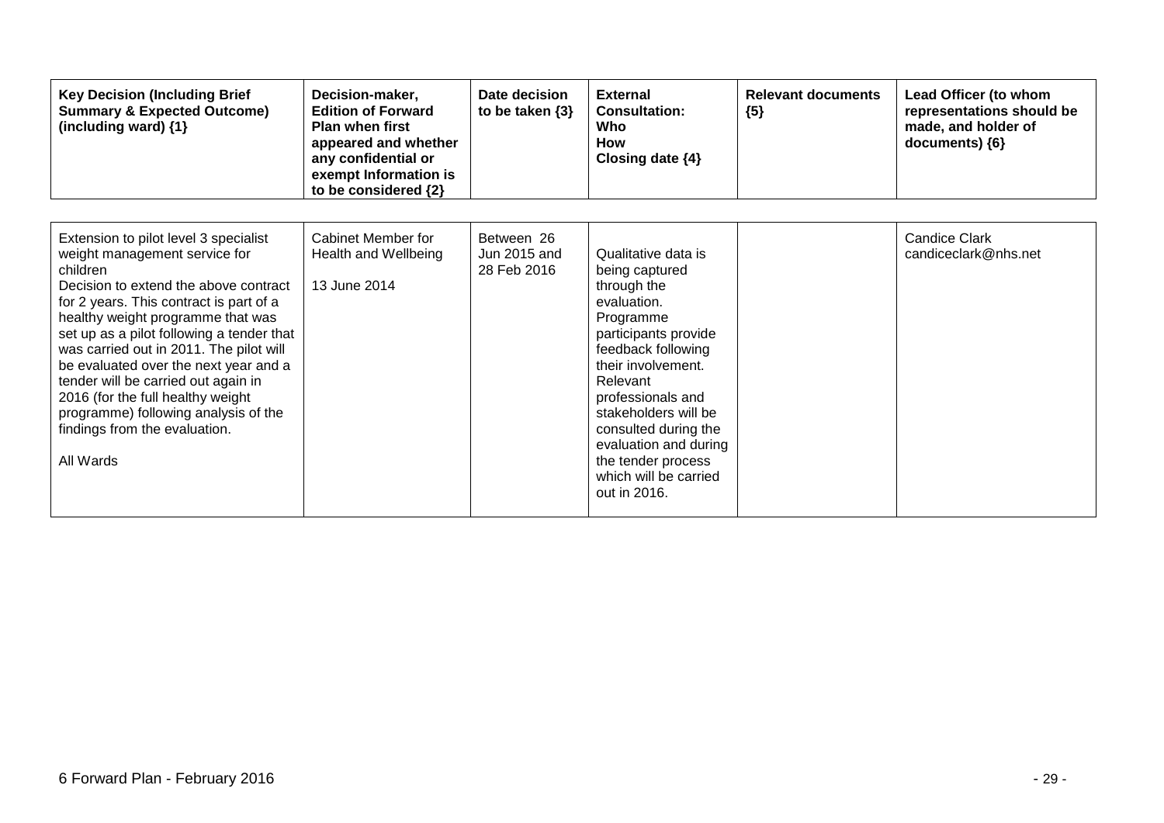| <b>Key Decision (Including Brief</b><br><b>Summary &amp; Expected Outcome)</b><br>(including ward) {1}                                                                                                                                                                                                                                                                                                                                                                                                         | Decision-maker,<br><b>Edition of Forward</b><br><b>Plan when first</b><br>appeared and whether<br>any confidential or<br>exempt Information is<br>to be considered {2} | Date decision<br>to be taken $\{3\}$      | <b>External</b><br><b>Consultation:</b><br>Who<br><b>How</b><br>Closing date {4}                                                                                                                                                                                                                                              | <b>Relevant documents</b><br>${5}$ | Lead Officer (to whom<br>representations should be<br>made, and holder of<br>documents) {6} |
|----------------------------------------------------------------------------------------------------------------------------------------------------------------------------------------------------------------------------------------------------------------------------------------------------------------------------------------------------------------------------------------------------------------------------------------------------------------------------------------------------------------|------------------------------------------------------------------------------------------------------------------------------------------------------------------------|-------------------------------------------|-------------------------------------------------------------------------------------------------------------------------------------------------------------------------------------------------------------------------------------------------------------------------------------------------------------------------------|------------------------------------|---------------------------------------------------------------------------------------------|
| Extension to pilot level 3 specialist<br>weight management service for<br>children<br>Decision to extend the above contract<br>for 2 years. This contract is part of a<br>healthy weight programme that was<br>set up as a pilot following a tender that<br>was carried out in 2011. The pilot will<br>be evaluated over the next year and a<br>tender will be carried out again in<br>2016 (for the full healthy weight<br>programme) following analysis of the<br>findings from the evaluation.<br>All Wards | Cabinet Member for<br>Health and Wellbeing<br>13 June 2014                                                                                                             | Between 26<br>Jun 2015 and<br>28 Feb 2016 | Qualitative data is<br>being captured<br>through the<br>evaluation.<br>Programme<br>participants provide<br>feedback following<br>their involvement.<br>Relevant<br>professionals and<br>stakeholders will be<br>consulted during the<br>evaluation and during<br>the tender process<br>which will be carried<br>out in 2016. |                                    | <b>Candice Clark</b><br>candiceclark@nhs.net                                                |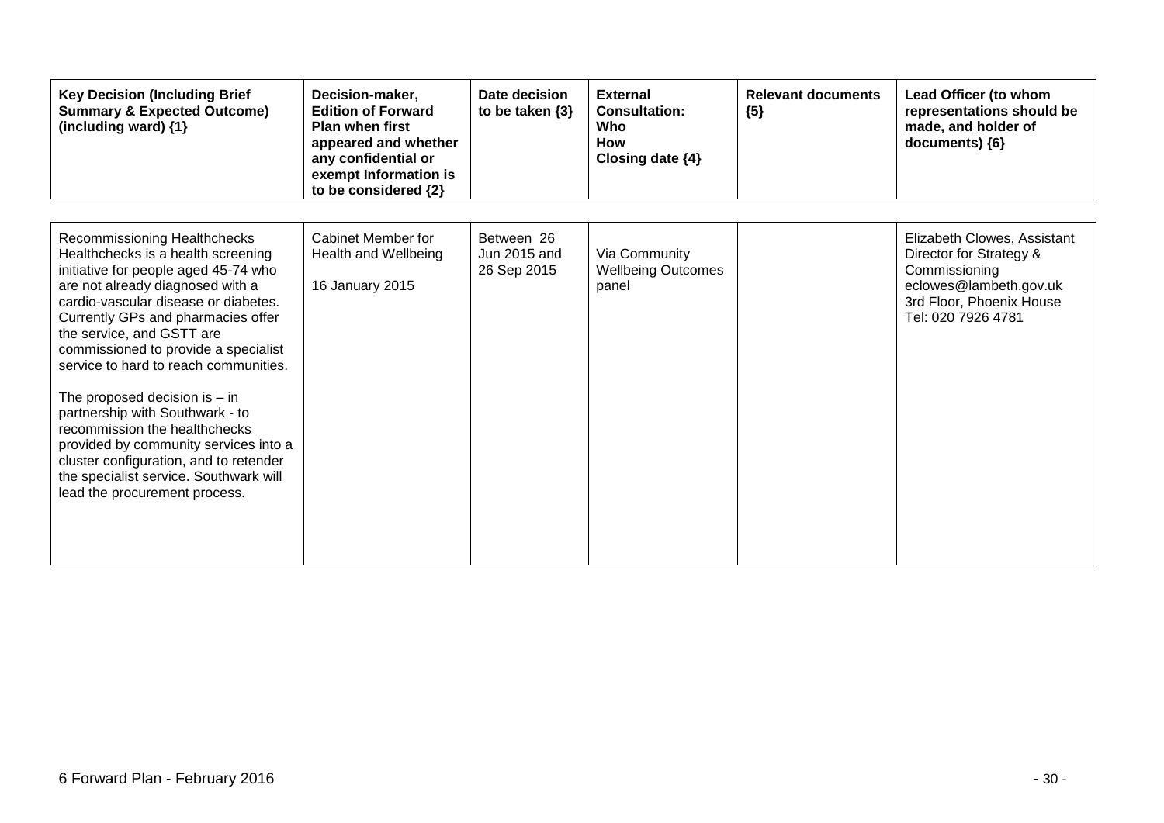| <b>Key Decision (Including Brief</b><br><b>Summary &amp; Expected Outcome)</b><br>(including ward) {1}                                                                                                                                                                                                                                                                                                                                                                                                                                                                                                          | Decision-maker,<br><b>Edition of Forward</b><br><b>Plan when first</b><br>appeared and whether<br>any confidential or<br>exempt Information is<br>to be considered {2} | Date decision<br>to be taken $\{3\}$      | <b>External</b><br><b>Consultation:</b><br>Who<br><b>How</b><br>Closing date $\{4\}$ | <b>Relevant documents</b><br>${5}$ | Lead Officer (to whom<br>representations should be<br>made, and holder of<br>documents) {6}                                                         |
|-----------------------------------------------------------------------------------------------------------------------------------------------------------------------------------------------------------------------------------------------------------------------------------------------------------------------------------------------------------------------------------------------------------------------------------------------------------------------------------------------------------------------------------------------------------------------------------------------------------------|------------------------------------------------------------------------------------------------------------------------------------------------------------------------|-------------------------------------------|--------------------------------------------------------------------------------------|------------------------------------|-----------------------------------------------------------------------------------------------------------------------------------------------------|
| Recommissioning Healthchecks<br>Healthchecks is a health screening<br>initiative for people aged 45-74 who<br>are not already diagnosed with a<br>cardio-vascular disease or diabetes.<br>Currently GPs and pharmacies offer<br>the service, and GSTT are<br>commissioned to provide a specialist<br>service to hard to reach communities.<br>The proposed decision is $-$ in<br>partnership with Southwark - to<br>recommission the healthchecks<br>provided by community services into a<br>cluster configuration, and to retender<br>the specialist service. Southwark will<br>lead the procurement process. | Cabinet Member for<br>Health and Wellbeing<br>16 January 2015                                                                                                          | Between 26<br>Jun 2015 and<br>26 Sep 2015 | Via Community<br><b>Wellbeing Outcomes</b><br>panel                                  |                                    | Elizabeth Clowes, Assistant<br>Director for Strategy &<br>Commissioning<br>eclowes@lambeth.gov.uk<br>3rd Floor, Phoenix House<br>Tel: 020 7926 4781 |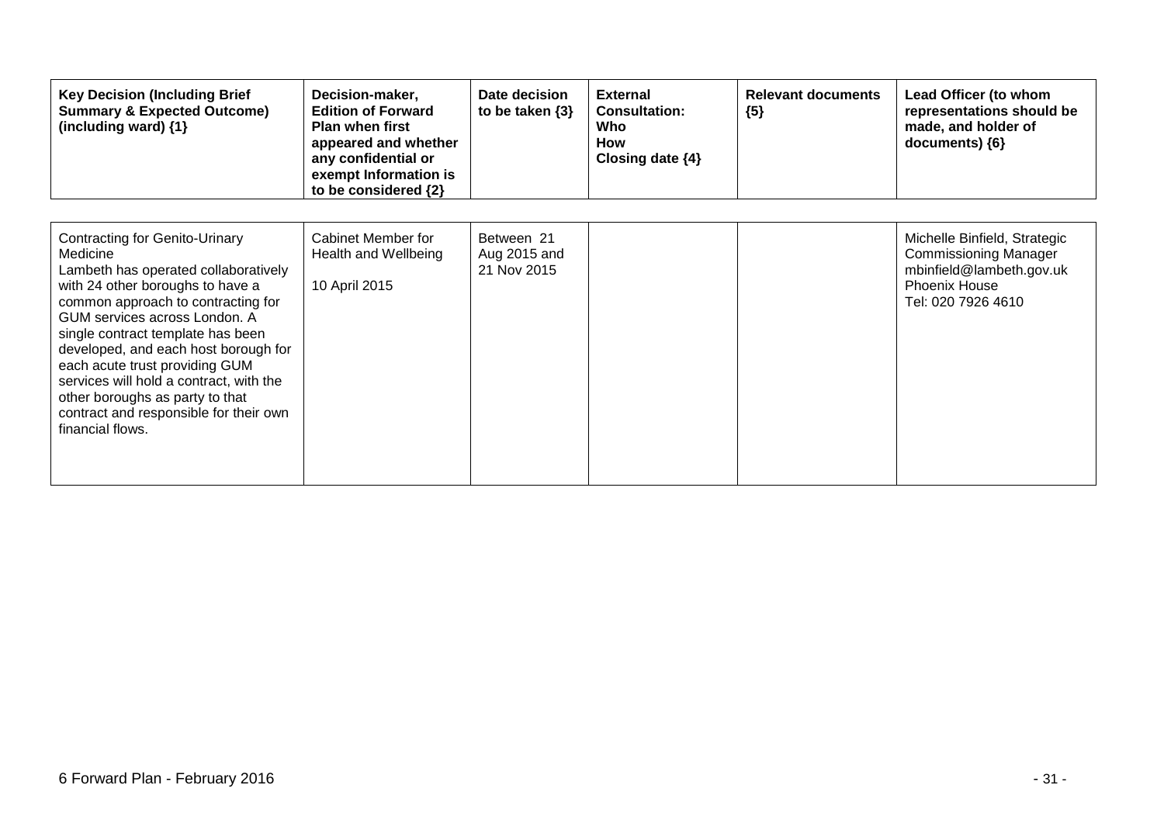| <b>Key Decision (Including Brief</b><br><b>Summary &amp; Expected Outcome)</b><br>(including ward) {1}                                                                                                                                                                                                                                                                                                                                                   | Decision-maker,<br><b>Edition of Forward</b><br><b>Plan when first</b><br>appeared and whether<br>any confidential or<br>exempt Information is<br>to be considered {2} | Date decision<br>to be taken $\{3\}$      | <b>External</b><br><b>Consultation:</b><br>Who<br><b>How</b><br>Closing date $\{4\}$ | <b>Relevant documents</b><br>${5}$ | Lead Officer (to whom<br>representations should be<br>made, and holder of<br>documents) ${6}$                                          |
|----------------------------------------------------------------------------------------------------------------------------------------------------------------------------------------------------------------------------------------------------------------------------------------------------------------------------------------------------------------------------------------------------------------------------------------------------------|------------------------------------------------------------------------------------------------------------------------------------------------------------------------|-------------------------------------------|--------------------------------------------------------------------------------------|------------------------------------|----------------------------------------------------------------------------------------------------------------------------------------|
| Contracting for Genito-Urinary<br>Medicine<br>Lambeth has operated collaboratively<br>with 24 other boroughs to have a<br>common approach to contracting for<br>GUM services across London. A<br>single contract template has been<br>developed, and each host borough for<br>each acute trust providing GUM<br>services will hold a contract, with the<br>other boroughs as party to that<br>contract and responsible for their own<br>financial flows. | Cabinet Member for<br>Health and Wellbeing<br>10 April 2015                                                                                                            | Between 21<br>Aug 2015 and<br>21 Nov 2015 |                                                                                      |                                    | Michelle Binfield, Strategic<br><b>Commissioning Manager</b><br>mbinfield@lambeth.gov.uk<br><b>Phoenix House</b><br>Tel: 020 7926 4610 |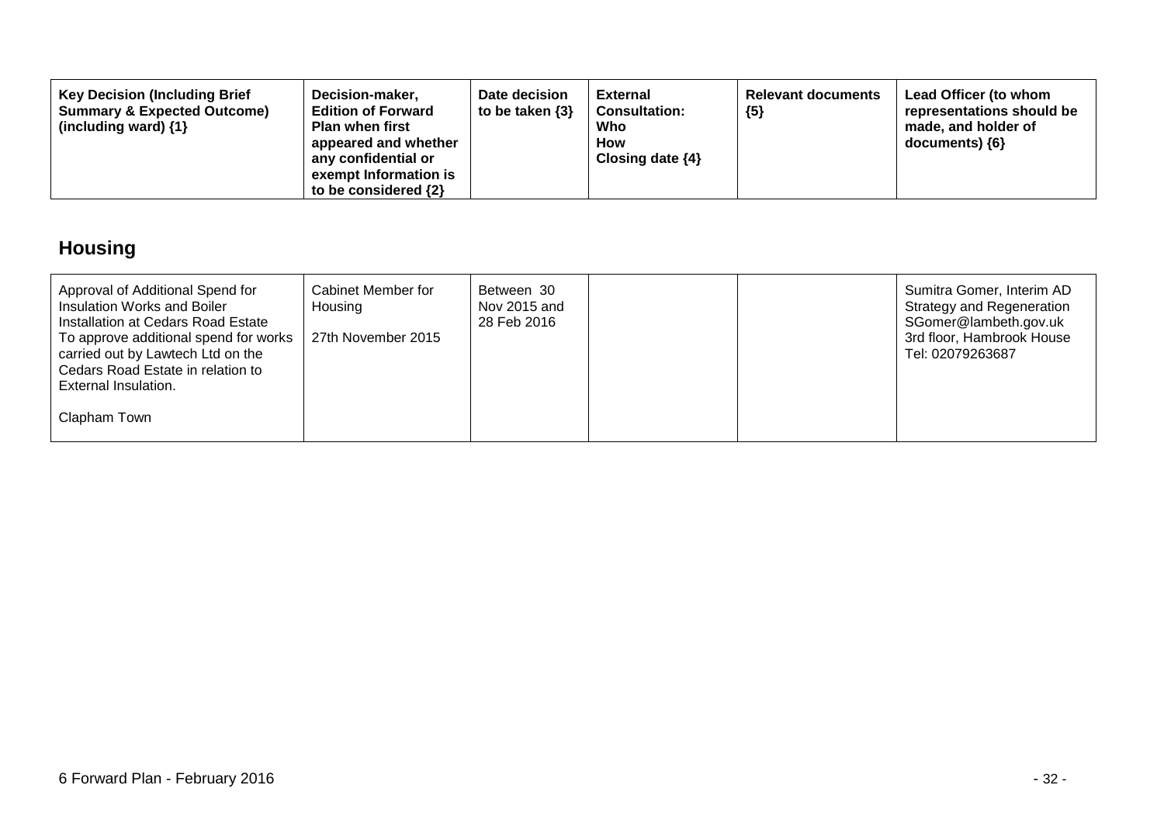| <b>Key Decision (Including Brief</b><br>Decision-maker,<br><b>Summary &amp; Expected Outcome)</b><br><b>Edition of Forward</b><br>(including ward) $\{1\}$<br><b>Plan when first</b><br>appeared and whether<br>any confidential or<br>exempt Information is<br>to be considered $\{2\}$ | Date decision<br>to be taken $\{3\}$ | External<br><b>Consultation:</b><br>Who<br>How<br>Closing date $\{4\}$ | <b>Relevant documents</b><br>${5}$ | Lead Officer (to whom<br>representations should be<br>made, and holder of<br>documents) {6} |
|------------------------------------------------------------------------------------------------------------------------------------------------------------------------------------------------------------------------------------------------------------------------------------------|--------------------------------------|------------------------------------------------------------------------|------------------------------------|---------------------------------------------------------------------------------------------|
|------------------------------------------------------------------------------------------------------------------------------------------------------------------------------------------------------------------------------------------------------------------------------------------|--------------------------------------|------------------------------------------------------------------------|------------------------------------|---------------------------------------------------------------------------------------------|

## **Housing**

| Approval of Additional Spend for<br>Insulation Works and Boiler<br>Installation at Cedars Road Estate<br>To approve additional spend for works | Cabinet Member for<br>Housing<br>27th November 2015 | Between 30<br>Nov 2015 and<br>28 Feb 2016 |  | Sumitra Gomer, Interim AD<br><b>Strategy and Regeneration</b><br>SGomer@lambeth.gov.uk<br>3rd floor, Hambrook House |
|------------------------------------------------------------------------------------------------------------------------------------------------|-----------------------------------------------------|-------------------------------------------|--|---------------------------------------------------------------------------------------------------------------------|
| carried out by Lawtech Ltd on the<br>Cedars Road Estate in relation to                                                                         |                                                     |                                           |  | Tel: 02079263687                                                                                                    |
| External Insulation.                                                                                                                           |                                                     |                                           |  |                                                                                                                     |
| Clapham Town                                                                                                                                   |                                                     |                                           |  |                                                                                                                     |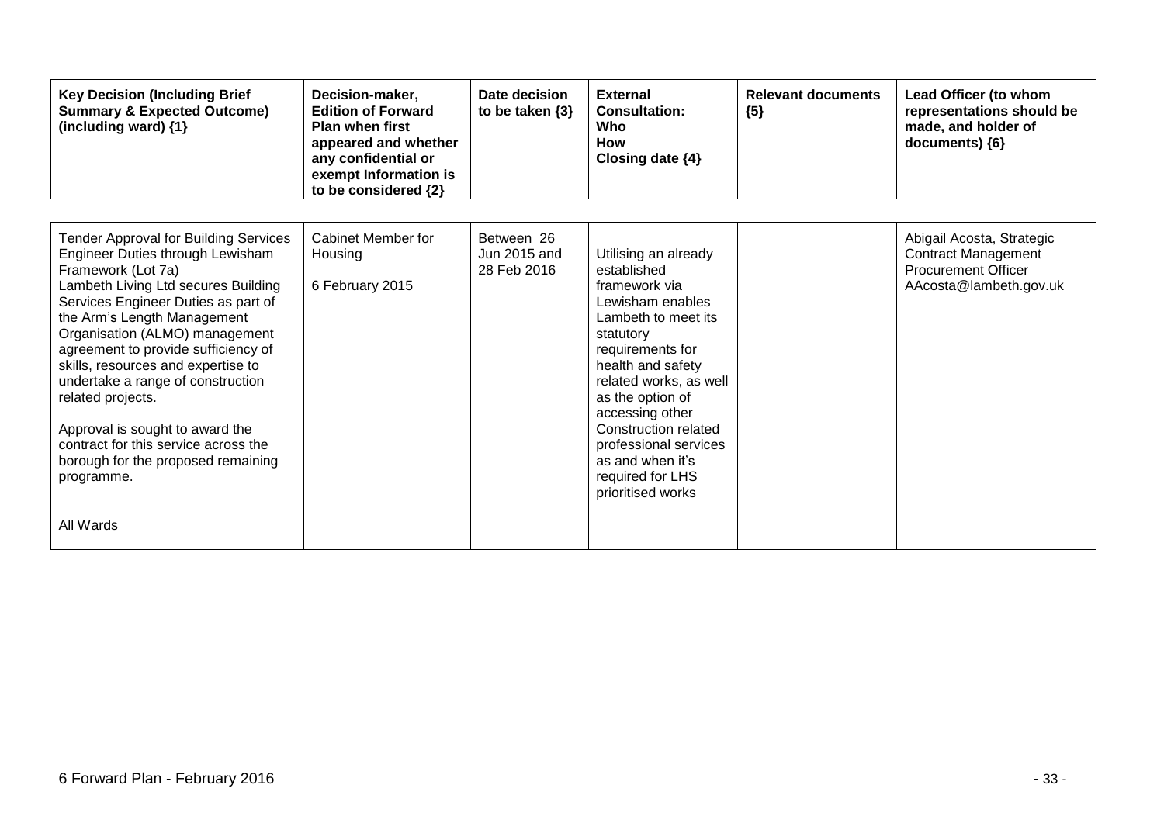| <b>Key Decision (Including Brief</b><br><b>Summary &amp; Expected Outcome)</b><br>(including ward) {1} | Decision-maker,<br><b>Edition of Forward</b><br><b>Plan when first</b><br>appeared and whether<br>any confidential or<br>exempt Information is<br>to be considered {2} | Date decision<br>to be taken $\{3\}$ | <b>External</b><br><b>Consultation:</b><br>Who<br><b>How</b><br>Closing date $\{4\}$ | <b>Relevant documents</b><br>${5}$ | Lead Officer (to whom<br>representations should be<br>made, and holder of<br>documents) {6} |
|--------------------------------------------------------------------------------------------------------|------------------------------------------------------------------------------------------------------------------------------------------------------------------------|--------------------------------------|--------------------------------------------------------------------------------------|------------------------------------|---------------------------------------------------------------------------------------------|
| <b>Tender Approval for Building Services</b>                                                           | <b>Cabinet Member for</b>                                                                                                                                              | Between 26                           |                                                                                      |                                    | Abigail Acosta, Strategic                                                                   |
| Engineer Duties through Lewisham<br>Framework (Lot 7a)                                                 | Housing                                                                                                                                                                | Jun 2015 and<br>28 Feb 2016          | Utilising an already<br>established                                                  |                                    | <b>Contract Management</b><br><b>Procurement Officer</b>                                    |
| Lambeth Living Ltd secures Building<br>Services Engineer Duties as part of                             | 6 February 2015                                                                                                                                                        |                                      | framework via<br>Lewisham enables                                                    |                                    | AAcosta@lambeth.gov.uk                                                                      |
| the Arm's Length Management                                                                            |                                                                                                                                                                        |                                      | Lambeth to meet its                                                                  |                                    |                                                                                             |
| Organisation (ALMO) management<br>agreement to provide sufficiency of                                  |                                                                                                                                                                        |                                      | statutory<br>requirements for                                                        |                                    |                                                                                             |
| skills, resources and expertise to<br>undertake a range of construction                                |                                                                                                                                                                        |                                      | health and safety<br>related works, as well                                          |                                    |                                                                                             |
| related projects.                                                                                      |                                                                                                                                                                        |                                      | as the option of<br>accessing other                                                  |                                    |                                                                                             |
| Approval is sought to award the<br>contract for this service across the                                |                                                                                                                                                                        |                                      | Construction related<br>professional services                                        |                                    |                                                                                             |
| borough for the proposed remaining<br>programme.                                                       |                                                                                                                                                                        |                                      | as and when it's<br>required for LHS                                                 |                                    |                                                                                             |
|                                                                                                        |                                                                                                                                                                        |                                      | prioritised works                                                                    |                                    |                                                                                             |
| All Wards                                                                                              |                                                                                                                                                                        |                                      |                                                                                      |                                    |                                                                                             |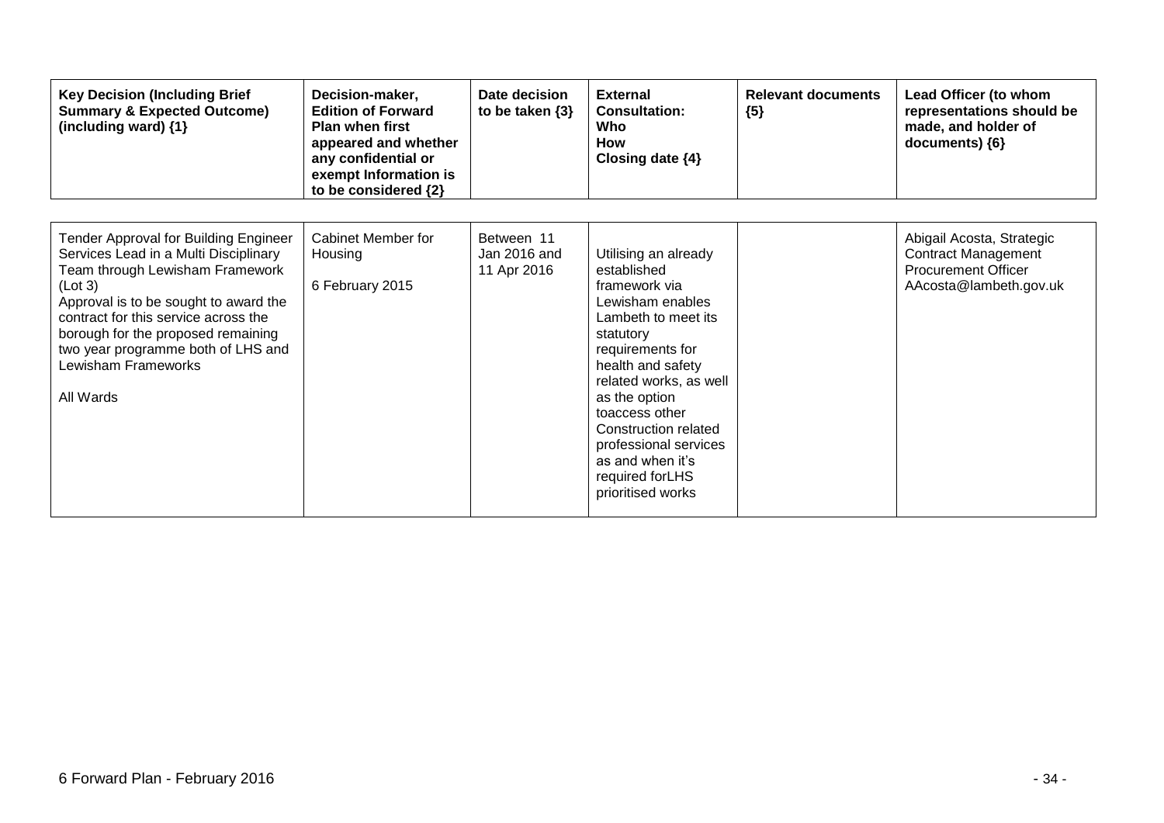| <b>Key Decision (Including Brief</b><br><b>Summary &amp; Expected Outcome)</b><br>(including ward) {1}                                                                                                                                                                                                                        | Decision-maker,<br><b>Edition of Forward</b><br><b>Plan when first</b><br>appeared and whether<br>any confidential or<br>exempt Information is<br>to be considered {2} | Date decision<br>to be taken $\{3\}$      | <b>External</b><br><b>Consultation:</b><br>Who<br><b>How</b><br>Closing date $\{4\}$                                                                                                                                                                                                                                             | <b>Relevant documents</b><br>${5}$ | Lead Officer (to whom<br>representations should be<br>made, and holder of<br>documents) ${6}$                   |
|-------------------------------------------------------------------------------------------------------------------------------------------------------------------------------------------------------------------------------------------------------------------------------------------------------------------------------|------------------------------------------------------------------------------------------------------------------------------------------------------------------------|-------------------------------------------|----------------------------------------------------------------------------------------------------------------------------------------------------------------------------------------------------------------------------------------------------------------------------------------------------------------------------------|------------------------------------|-----------------------------------------------------------------------------------------------------------------|
| Tender Approval for Building Engineer<br>Services Lead in a Multi Disciplinary<br>Team through Lewisham Framework<br>(Lot 3)<br>Approval is to be sought to award the<br>contract for this service across the<br>borough for the proposed remaining<br>two year programme both of LHS and<br>Lewisham Frameworks<br>All Wards | <b>Cabinet Member for</b><br>Housing<br>6 February 2015                                                                                                                | Between 11<br>Jan 2016 and<br>11 Apr 2016 | Utilising an already<br>established<br>framework via<br>Lewisham enables<br>Lambeth to meet its<br>statutory<br>requirements for<br>health and safety<br>related works, as well<br>as the option<br>toaccess other<br>Construction related<br>professional services<br>as and when it's<br>required for LHS<br>prioritised works |                                    | Abigail Acosta, Strategic<br><b>Contract Management</b><br><b>Procurement Officer</b><br>AAcosta@lambeth.gov.uk |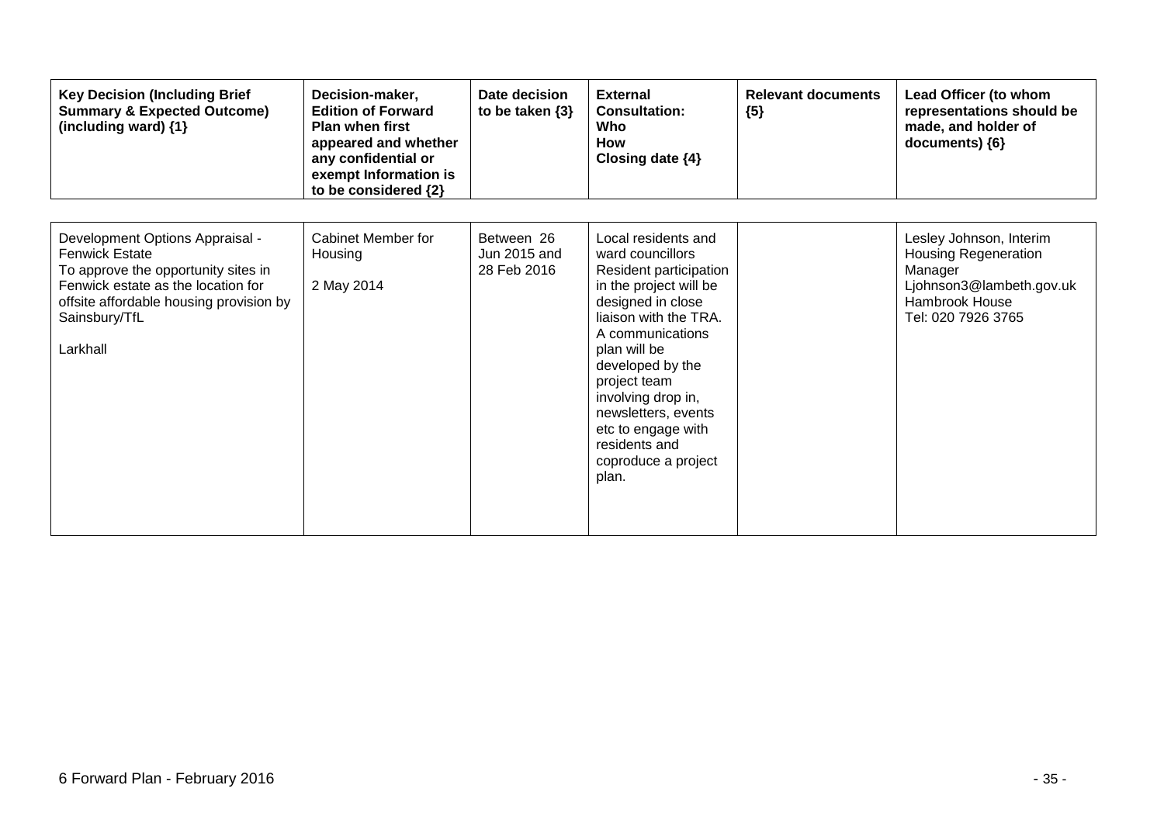| <b>Key Decision (Including Brief</b><br><b>Summary &amp; Expected Outcome)</b><br>(including ward) {1}                                                                                                        | Decision-maker,<br><b>Edition of Forward</b><br><b>Plan when first</b><br>appeared and whether<br>any confidential or<br>exempt Information is<br>to be considered {2} | Date decision<br>to be taken $\{3\}$      | <b>External</b><br><b>Consultation:</b><br>Who<br><b>How</b><br>Closing date $\{4\}$                                                                                                                                                                                                                                                  | <b>Relevant documents</b><br>${5}$ | Lead Officer (to whom<br>representations should be<br>made, and holder of<br>documents) {6}                                           |
|---------------------------------------------------------------------------------------------------------------------------------------------------------------------------------------------------------------|------------------------------------------------------------------------------------------------------------------------------------------------------------------------|-------------------------------------------|---------------------------------------------------------------------------------------------------------------------------------------------------------------------------------------------------------------------------------------------------------------------------------------------------------------------------------------|------------------------------------|---------------------------------------------------------------------------------------------------------------------------------------|
| Development Options Appraisal -<br><b>Fenwick Estate</b><br>To approve the opportunity sites in<br>Fenwick estate as the location for<br>offsite affordable housing provision by<br>Sainsbury/TfL<br>Larkhall | Cabinet Member for<br>Housing<br>2 May 2014                                                                                                                            | Between 26<br>Jun 2015 and<br>28 Feb 2016 | Local residents and<br>ward councillors<br>Resident participation<br>in the project will be<br>designed in close<br>liaison with the TRA.<br>A communications<br>plan will be<br>developed by the<br>project team<br>involving drop in,<br>newsletters, events<br>etc to engage with<br>residents and<br>coproduce a project<br>plan. |                                    | Lesley Johnson, Interim<br><b>Housing Regeneration</b><br>Manager<br>Ljohnson3@lambeth.gov.uk<br>Hambrook House<br>Tel: 020 7926 3765 |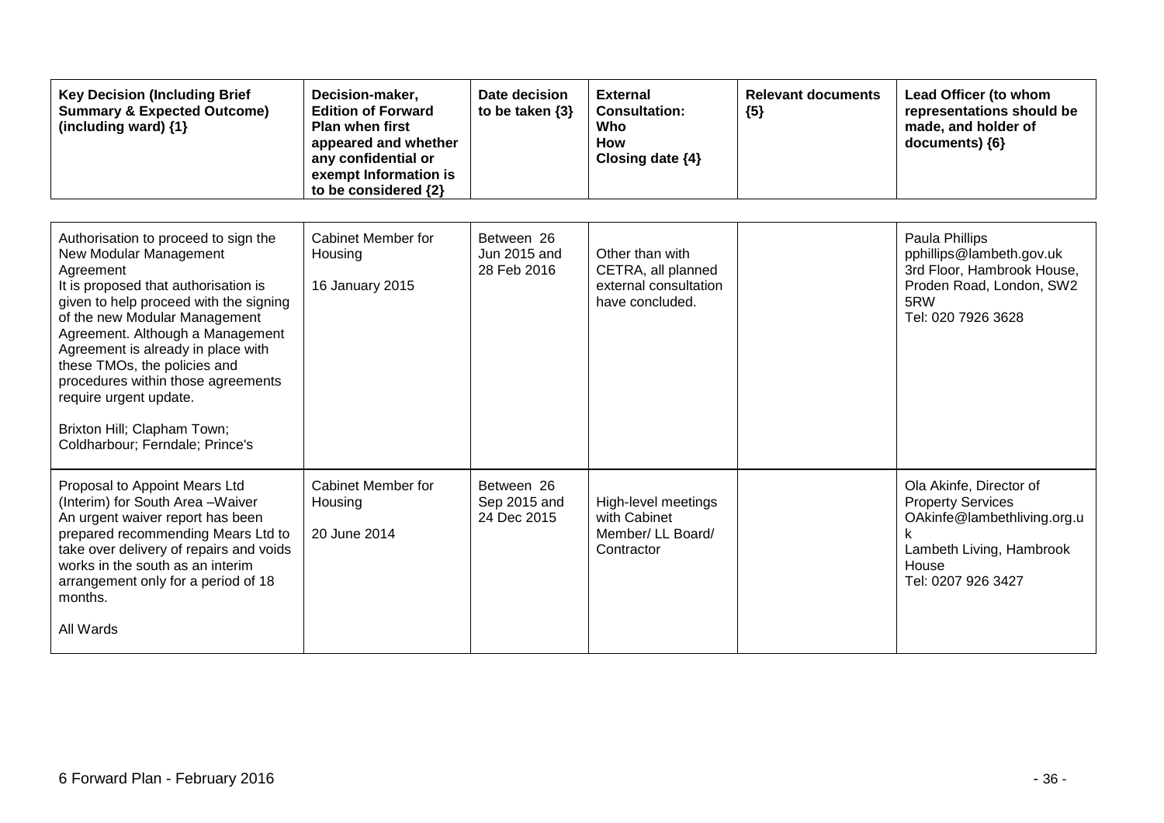| <b>Key Decision (Including Brief</b><br><b>Summary &amp; Expected Outcome)</b><br>(including ward) $\{1\}$                                                                                                                                                                                                                                                                                                                                 | Decision-maker,<br><b>Edition of Forward</b><br><b>Plan when first</b><br>appeared and whether<br>any confidential or<br>exempt Information is<br>to be considered {2} | Date decision<br>to be taken $\{3\}$      | <b>External</b><br><b>Consultation:</b><br>Who<br><b>How</b><br>Closing date {4}  | <b>Relevant documents</b><br>${5}$ | Lead Officer (to whom<br>representations should be<br>made, and holder of<br>documents) {6}                                                   |
|--------------------------------------------------------------------------------------------------------------------------------------------------------------------------------------------------------------------------------------------------------------------------------------------------------------------------------------------------------------------------------------------------------------------------------------------|------------------------------------------------------------------------------------------------------------------------------------------------------------------------|-------------------------------------------|-----------------------------------------------------------------------------------|------------------------------------|-----------------------------------------------------------------------------------------------------------------------------------------------|
| Authorisation to proceed to sign the<br>New Modular Management<br>Agreement<br>It is proposed that authorisation is<br>given to help proceed with the signing<br>of the new Modular Management<br>Agreement. Although a Management<br>Agreement is already in place with<br>these TMOs, the policies and<br>procedures within those agreements<br>require urgent update.<br>Brixton Hill; Clapham Town;<br>Coldharbour; Ferndale; Prince's | <b>Cabinet Member for</b><br>Housing<br>16 January 2015                                                                                                                | Between 26<br>Jun 2015 and<br>28 Feb 2016 | Other than with<br>CETRA, all planned<br>external consultation<br>have concluded. |                                    | Paula Phillips<br>pphillips@lambeth.gov.uk<br>3rd Floor, Hambrook House,<br>Proden Road, London, SW2<br>5RW<br>Tel: 020 7926 3628             |
| Proposal to Appoint Mears Ltd<br>(Interim) for South Area-Waiver<br>An urgent waiver report has been<br>prepared recommending Mears Ltd to<br>take over delivery of repairs and voids<br>works in the south as an interim<br>arrangement only for a period of 18<br>months.<br>All Wards                                                                                                                                                   | <b>Cabinet Member for</b><br>Housing<br>20 June 2014                                                                                                                   | Between 26<br>Sep 2015 and<br>24 Dec 2015 | High-level meetings<br>with Cabinet<br>Member/ LL Board/<br>Contractor            |                                    | Ola Akinfe, Director of<br><b>Property Services</b><br>OAkinfe@lambethliving.org.u<br>Lambeth Living, Hambrook<br>House<br>Tel: 0207 926 3427 |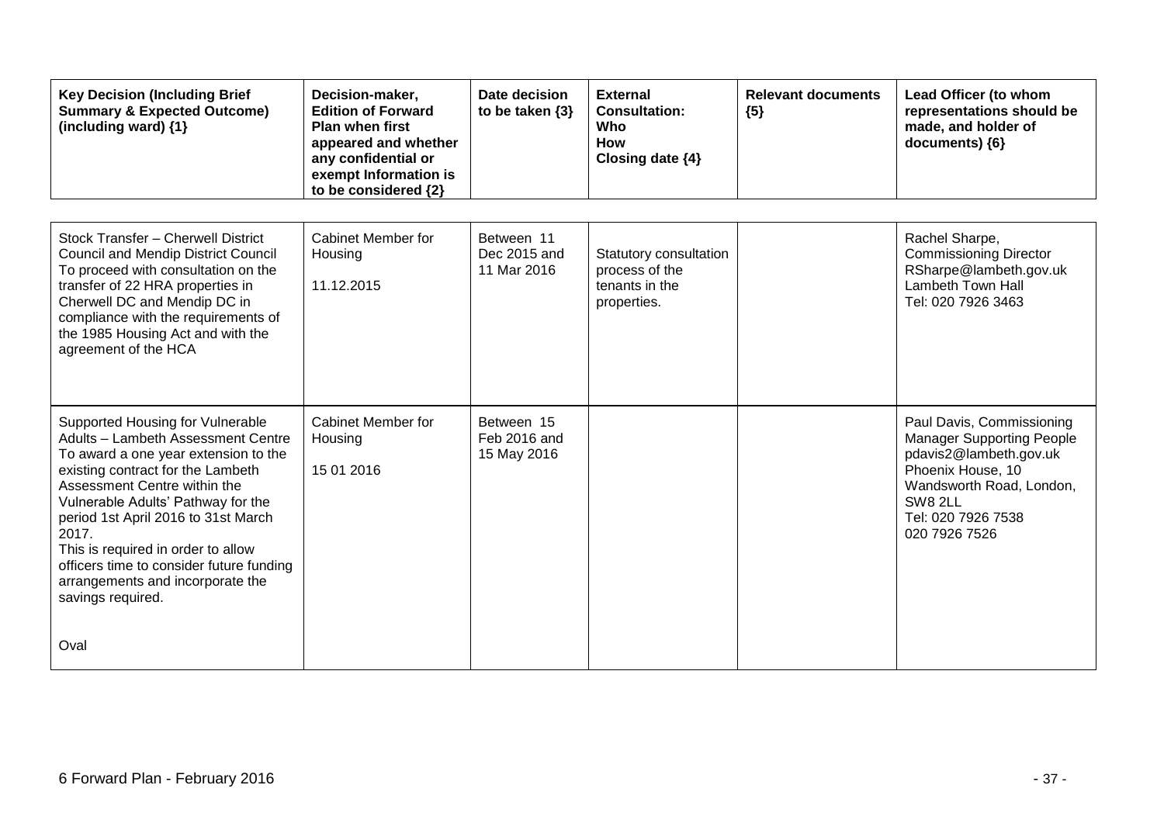| <b>Key Decision (Including Brief</b><br><b>Summary &amp; Expected Outcome)</b><br>(including ward) {1}                                                                                                                                                                                                                                                                                                               | Decision-maker,<br><b>Edition of Forward</b><br><b>Plan when first</b><br>appeared and whether<br>any confidential or<br>exempt Information is<br>to be considered {2} | Date decision<br>to be taken $\{3\}$      | <b>External</b><br><b>Consultation:</b><br>Who<br><b>How</b><br>Closing date {4} | <b>Relevant documents</b><br>${5}$ | Lead Officer (to whom<br>representations should be<br>made, and holder of<br>documents) {6}                                                                                                |
|----------------------------------------------------------------------------------------------------------------------------------------------------------------------------------------------------------------------------------------------------------------------------------------------------------------------------------------------------------------------------------------------------------------------|------------------------------------------------------------------------------------------------------------------------------------------------------------------------|-------------------------------------------|----------------------------------------------------------------------------------|------------------------------------|--------------------------------------------------------------------------------------------------------------------------------------------------------------------------------------------|
| Stock Transfer - Cherwell District<br><b>Council and Mendip District Council</b><br>To proceed with consultation on the<br>transfer of 22 HRA properties in<br>Cherwell DC and Mendip DC in<br>compliance with the requirements of<br>the 1985 Housing Act and with the<br>agreement of the HCA                                                                                                                      | <b>Cabinet Member for</b><br>Housing<br>11.12.2015                                                                                                                     | Between 11<br>Dec 2015 and<br>11 Mar 2016 | Statutory consultation<br>process of the<br>tenants in the<br>properties.        |                                    | Rachel Sharpe,<br><b>Commissioning Director</b><br>RSharpe@lambeth.gov.uk<br><b>Lambeth Town Hall</b><br>Tel: 020 7926 3463                                                                |
| Supported Housing for Vulnerable<br>Adults - Lambeth Assessment Centre<br>To award a one year extension to the<br>existing contract for the Lambeth<br>Assessment Centre within the<br>Vulnerable Adults' Pathway for the<br>period 1st April 2016 to 31st March<br>2017.<br>This is required in order to allow<br>officers time to consider future funding<br>arrangements and incorporate the<br>savings required. | Cabinet Member for<br>Housing<br>15 01 2016                                                                                                                            | Between 15<br>Feb 2016 and<br>15 May 2016 |                                                                                  |                                    | Paul Davis, Commissioning<br><b>Manager Supporting People</b><br>pdavis2@lambeth.gov.uk<br>Phoenix House, 10<br>Wandsworth Road, London,<br>SW8 2LL<br>Tel: 020 7926 7538<br>020 7926 7526 |
| Oval                                                                                                                                                                                                                                                                                                                                                                                                                 |                                                                                                                                                                        |                                           |                                                                                  |                                    |                                                                                                                                                                                            |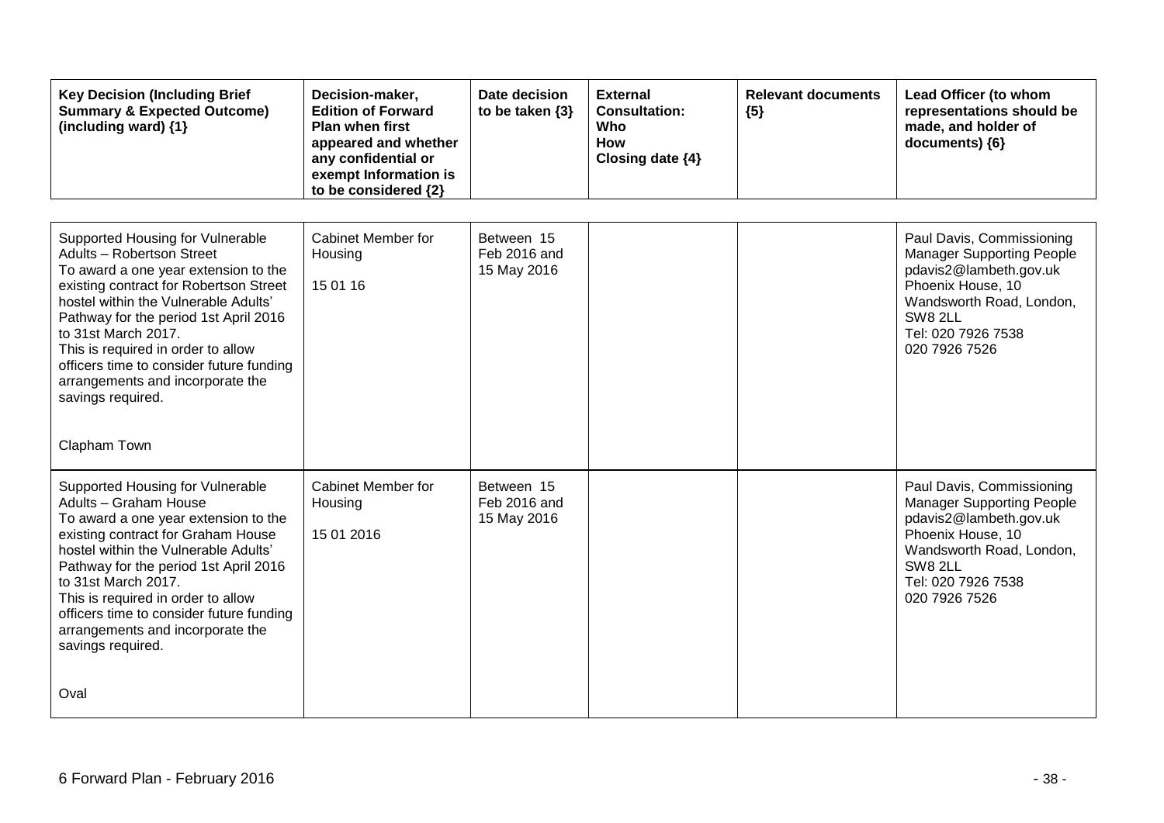| <b>Key Decision (Including Brief</b><br><b>Summary &amp; Expected Outcome)</b><br>(including ward) {1}                                                                                                                                                                                                                                                                                                             | Decision-maker,<br><b>Edition of Forward</b><br><b>Plan when first</b><br>appeared and whether<br>any confidential or<br>exempt Information is<br>to be considered {2} | Date decision<br>to be taken $\{3\}$      | <b>External</b><br><b>Consultation:</b><br>Who<br><b>How</b><br>Closing date {4} | <b>Relevant documents</b><br>${5}$ | Lead Officer (to whom<br>representations should be<br>made, and holder of<br>documents) {6}                                                                                                       |
|--------------------------------------------------------------------------------------------------------------------------------------------------------------------------------------------------------------------------------------------------------------------------------------------------------------------------------------------------------------------------------------------------------------------|------------------------------------------------------------------------------------------------------------------------------------------------------------------------|-------------------------------------------|----------------------------------------------------------------------------------|------------------------------------|---------------------------------------------------------------------------------------------------------------------------------------------------------------------------------------------------|
| Supported Housing for Vulnerable<br>Adults - Robertson Street<br>To award a one year extension to the<br>existing contract for Robertson Street<br>hostel within the Vulnerable Adults'<br>Pathway for the period 1st April 2016<br>to 31st March 2017.<br>This is required in order to allow<br>officers time to consider future funding<br>arrangements and incorporate the<br>savings required.<br>Clapham Town | Cabinet Member for<br>Housing<br>15 01 16                                                                                                                              | Between 15<br>Feb 2016 and<br>15 May 2016 |                                                                                  |                                    | Paul Davis, Commissioning<br><b>Manager Supporting People</b><br>pdavis2@lambeth.gov.uk<br>Phoenix House, 10<br>Wandsworth Road, London,<br><b>SW8 2LL</b><br>Tel: 020 7926 7538<br>020 7926 7526 |
| Supported Housing for Vulnerable<br>Adults - Graham House<br>To award a one year extension to the<br>existing contract for Graham House<br>hostel within the Vulnerable Adults'<br>Pathway for the period 1st April 2016<br>to 31st March 2017.<br>This is required in order to allow<br>officers time to consider future funding<br>arrangements and incorporate the<br>savings required.<br>Oval                 | <b>Cabinet Member for</b><br>Housing<br>15 01 2016                                                                                                                     | Between 15<br>Feb 2016 and<br>15 May 2016 |                                                                                  |                                    | Paul Davis, Commissioning<br><b>Manager Supporting People</b><br>pdavis2@lambeth.gov.uk<br>Phoenix House, 10<br>Wandsworth Road, London,<br>SW8 2LL<br>Tel: 020 7926 7538<br>020 7926 7526        |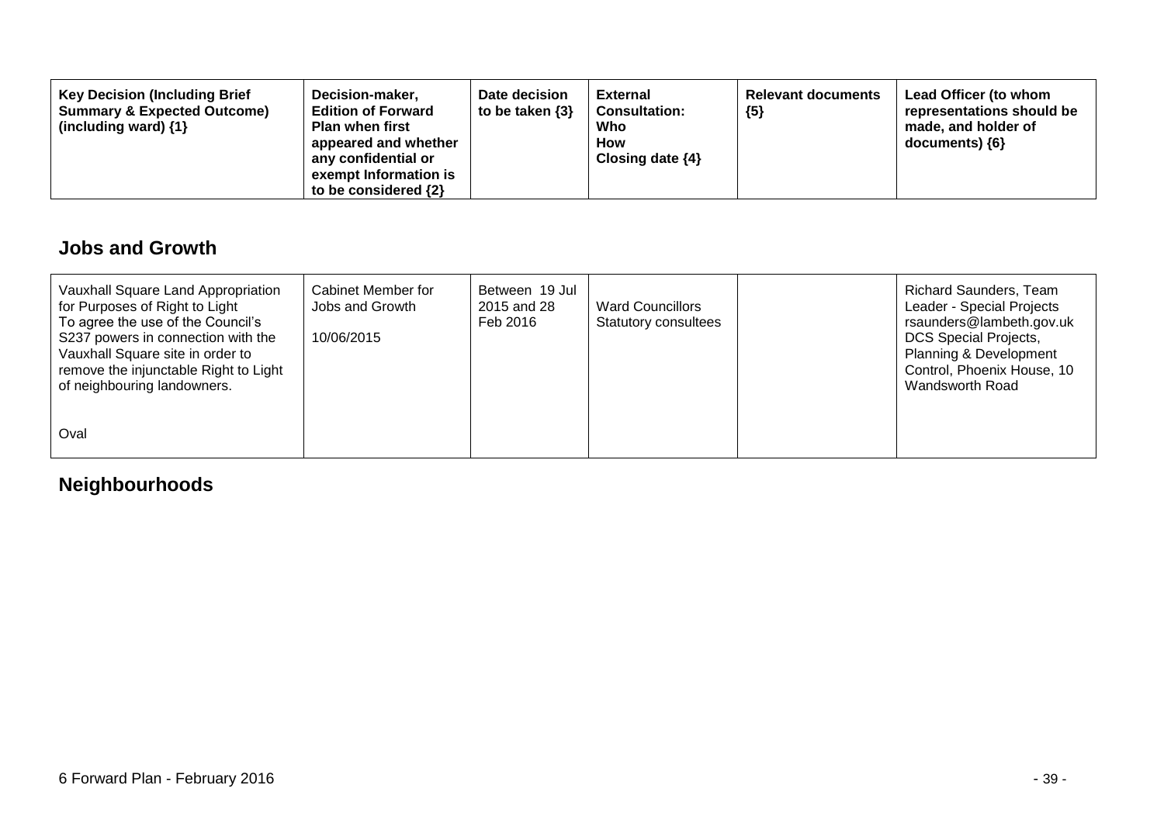| <b>Key Decision (Including Brief</b><br>Decision-maker,<br><b>Summary &amp; Expected Outcome)</b><br><b>Edition of Forward</b><br>(including ward) $\{1\}$<br><b>Plan when first</b><br>appeared and whether<br>any confidential or<br>exempt Information is<br>to be considered $\{2\}$ | Date decision<br>to be taken $\{3\}$ | <b>External</b><br><b>Consultation:</b><br>Who<br><b>How</b><br>Closing date $\{4\}$ | <b>Relevant documents</b><br>${5}$ | Lead Officer (to whom<br>representations should be<br>made, and holder of<br>documents) ${6}$ |
|------------------------------------------------------------------------------------------------------------------------------------------------------------------------------------------------------------------------------------------------------------------------------------------|--------------------------------------|--------------------------------------------------------------------------------------|------------------------------------|-----------------------------------------------------------------------------------------------|
|------------------------------------------------------------------------------------------------------------------------------------------------------------------------------------------------------------------------------------------------------------------------------------------|--------------------------------------|--------------------------------------------------------------------------------------|------------------------------------|-----------------------------------------------------------------------------------------------|

### **Jobs and Growth**

| Vauxhall Square Land Appropriation<br>for Purposes of Right to Light<br>To agree the use of the Council's<br>S237 powers in connection with the<br>Vauxhall Square site in order to<br>remove the injunctable Right to Light<br>of neighbouring landowners. | Cabinet Member for<br>Jobs and Growth<br>10/06/2015 | Between 19 Jul<br>2015 and 28<br>Feb 2016 | <b>Ward Councillors</b><br><b>Statutory consultees</b> | <b>Richard Saunders, Team</b><br>Leader - Special Projects<br>rsaunders@lambeth.gov.uk<br><b>DCS Special Projects,</b><br><b>Planning &amp; Development</b><br>Control, Phoenix House, 10<br>Wandsworth Road |
|-------------------------------------------------------------------------------------------------------------------------------------------------------------------------------------------------------------------------------------------------------------|-----------------------------------------------------|-------------------------------------------|--------------------------------------------------------|--------------------------------------------------------------------------------------------------------------------------------------------------------------------------------------------------------------|
| Oval                                                                                                                                                                                                                                                        |                                                     |                                           |                                                        |                                                                                                                                                                                                              |

## **Neighbourhoods**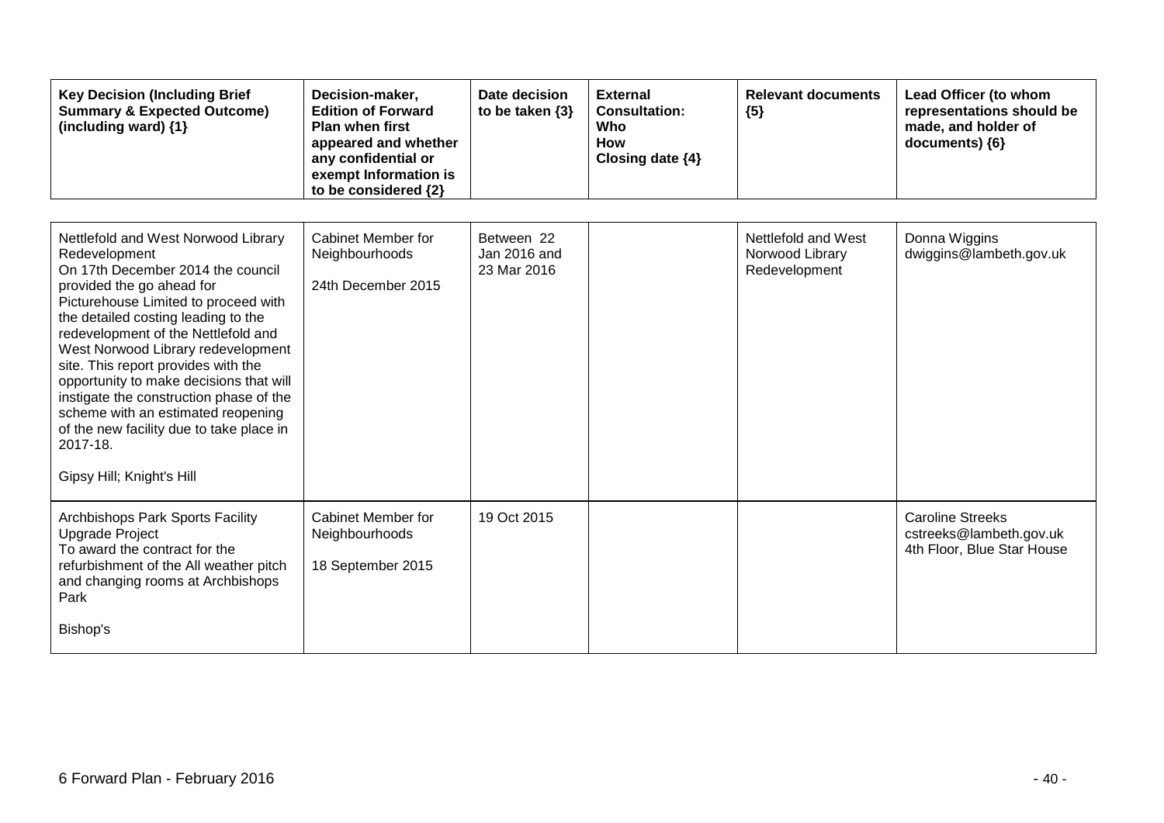| <b>Key Decision (Including Brief</b><br><b>Summary &amp; Expected Outcome)</b><br>(including ward) {1}                                                                                                                                                                                                                                                                                                                                                                                                                                     | Decision-maker,<br><b>Edition of Forward</b><br><b>Plan when first</b><br>appeared and whether<br>any confidential or<br>exempt Information is<br>to be considered {2} | Date decision<br>to be taken $\{3\}$      | <b>External</b><br><b>Consultation:</b><br>Who<br><b>How</b><br>Closing date {4} | <b>Relevant documents</b><br>${5}$                      | Lead Officer (to whom<br>representations should be<br>made, and holder of<br>documents) {6} |
|--------------------------------------------------------------------------------------------------------------------------------------------------------------------------------------------------------------------------------------------------------------------------------------------------------------------------------------------------------------------------------------------------------------------------------------------------------------------------------------------------------------------------------------------|------------------------------------------------------------------------------------------------------------------------------------------------------------------------|-------------------------------------------|----------------------------------------------------------------------------------|---------------------------------------------------------|---------------------------------------------------------------------------------------------|
| Nettlefold and West Norwood Library<br>Redevelopment<br>On 17th December 2014 the council<br>provided the go ahead for<br>Picturehouse Limited to proceed with<br>the detailed costing leading to the<br>redevelopment of the Nettlefold and<br>West Norwood Library redevelopment<br>site. This report provides with the<br>opportunity to make decisions that will<br>instigate the construction phase of the<br>scheme with an estimated reopening<br>of the new facility due to take place in<br>2017-18.<br>Gipsy Hill; Knight's Hill | Cabinet Member for<br>Neighbourhoods<br>24th December 2015                                                                                                             | Between 22<br>Jan 2016 and<br>23 Mar 2016 |                                                                                  | Nettlefold and West<br>Norwood Library<br>Redevelopment | Donna Wiggins<br>dwiggins@lambeth.gov.uk                                                    |
| Archbishops Park Sports Facility<br><b>Upgrade Project</b><br>To award the contract for the<br>refurbishment of the All weather pitch<br>and changing rooms at Archbishops<br>Park<br>Bishop's                                                                                                                                                                                                                                                                                                                                             | Cabinet Member for<br>Neighbourhoods<br>18 September 2015                                                                                                              | 19 Oct 2015                               |                                                                                  |                                                         | <b>Caroline Streeks</b><br>cstreeks@lambeth.gov.uk<br>4th Floor, Blue Star House            |